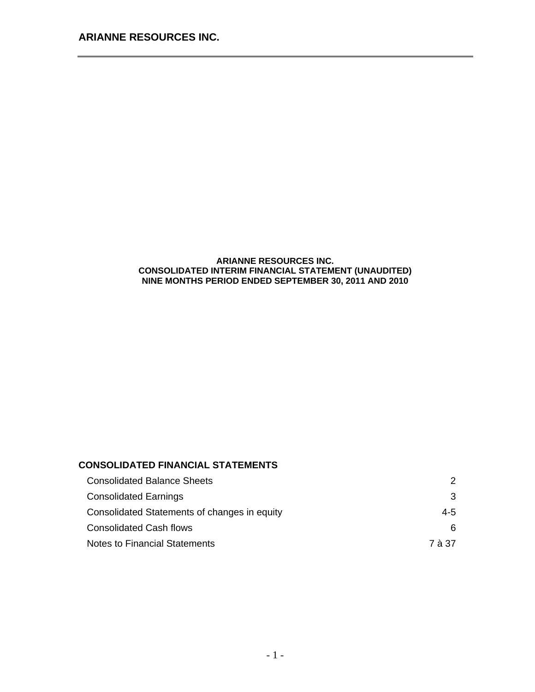### **ARIANNE RESOURCES INC. CONSOLIDATED INTERIM FINANCIAL STATEMENT (UNAUDITED) NINE MONTHS PERIOD ENDED SEPTEMBER 30, 2011 AND 2010**

## **CONSOLIDATED FINANCIAL STATEMENTS**

| <b>Consolidated Balance Sheets</b>           | 2      |
|----------------------------------------------|--------|
| <b>Consolidated Earnings</b>                 | 3      |
| Consolidated Statements of changes in equity | 4-5    |
| Consolidated Cash flows                      | 6.     |
| Notes to Financial Statements                | 7 à 37 |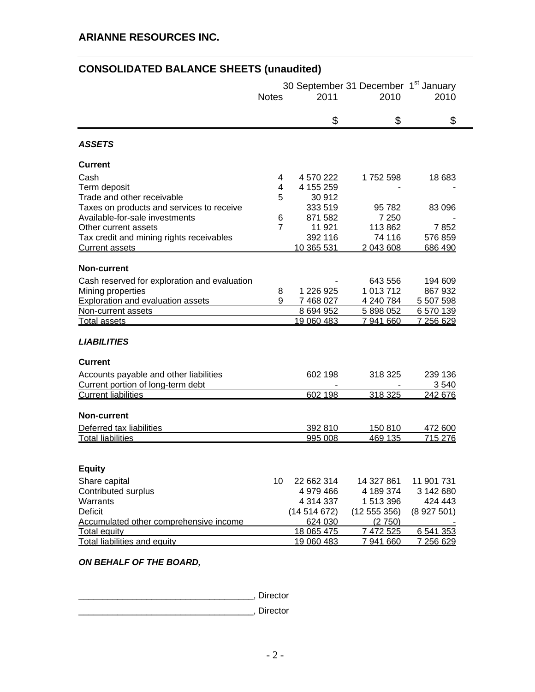# **CONSOLIDATED BALANCE SHEETS (unaudited)**

|                                              | <b>Notes</b>   | 2011       | 30 September 31 December 1 <sup>st</sup> January<br>2010 | 2010       |
|----------------------------------------------|----------------|------------|----------------------------------------------------------|------------|
|                                              |                | \$         | \$                                                       | \$         |
| <b>ASSETS</b>                                |                |            |                                                          |            |
| <b>Current</b>                               |                |            |                                                          |            |
| Cash                                         | 4              | 4 570 222  | 1752 598                                                 | 18 683     |
| Term deposit                                 | 4              | 4 155 259  |                                                          |            |
| Trade and other receivable                   | 5              | 30 912     |                                                          |            |
| Taxes on products and services to receive    |                | 333 519    | 95 782                                                   | 83 096     |
| Available-for-sale investments               | 6              | 871 582    | 7 2 5 0                                                  |            |
| Other current assets                         | $\overline{7}$ | 11 921     | 113862                                                   | 7852       |
| Tax credit and mining rights receivables     |                | 392 116    | 74 116                                                   | 576 859    |
| <b>Current assets</b>                        |                | 10 365 531 | 2 043 608                                                | 686 490    |
| <b>Non-current</b>                           |                |            |                                                          |            |
| Cash reserved for exploration and evaluation |                |            | 643 556                                                  | 194 609    |
| Mining properties                            | 8              | 1 226 925  | 1 013 712                                                | 867 932    |
| Exploration and evaluation assets            | 9              | 7 468 027  | 4 240 784                                                | 5 507 598  |
| Non-current assets                           |                | 8 694 952  | 5 898 052                                                | 6 570 139  |
| <b>Total assets</b>                          |                | 19 060 483 | 7 941 660                                                | 7 256 629  |
| <b>LIABILITIES</b>                           |                |            |                                                          |            |
| <b>Current</b>                               |                |            |                                                          |            |
| Accounts payable and other liabilities       |                | 602 198    | 318 325                                                  | 239 136    |
| Current portion of long-term debt            |                |            |                                                          | 3540       |
| <b>Current liabilities</b>                   |                | 602 198    | 318 325                                                  | 242 676    |
| <b>Non-current</b>                           |                |            |                                                          |            |
| Deferred tax liabilities                     |                | 392 810    | 150 810                                                  | 472 600    |
| <b>Total liabilities</b>                     |                | 995 008    | 469 135                                                  | 715 276    |
|                                              |                |            |                                                          |            |
| <b>Equity</b>                                |                |            |                                                          |            |
| Share capital                                | 10             | 22 662 314 | 14 327 861                                               | 11 901 731 |
| Contributed surplus                          |                | 4 979 466  | 4 189 374                                                | 3 142 680  |
| Warrants                                     |                | 4 314 337  | 1 513 396                                                | 424 443    |
| <b>Deficit</b>                               |                | (14514672) | (12 555 356)                                             | (8927501)  |
| Accumulated other comprehensive income       |                | 624 030    | (2750)                                                   |            |
| <b>Total equity</b>                          |                | 18 065 475 | 7 472 525                                                | 6 541 353  |
| <b>Total liabilities and equity</b>          |                | 19 060 483 | 7 941 660                                                | 7 256 629  |

*ON BEHALF OF THE BOARD,* 

\_\_\_\_\_\_\_\_\_\_\_\_\_\_\_\_\_\_\_\_\_\_\_\_\_\_\_\_\_\_\_\_\_\_\_\_, Director

\_\_\_\_\_\_\_\_\_\_\_\_\_\_\_\_\_\_\_\_\_\_\_\_\_\_\_\_\_\_\_\_\_\_\_\_, Director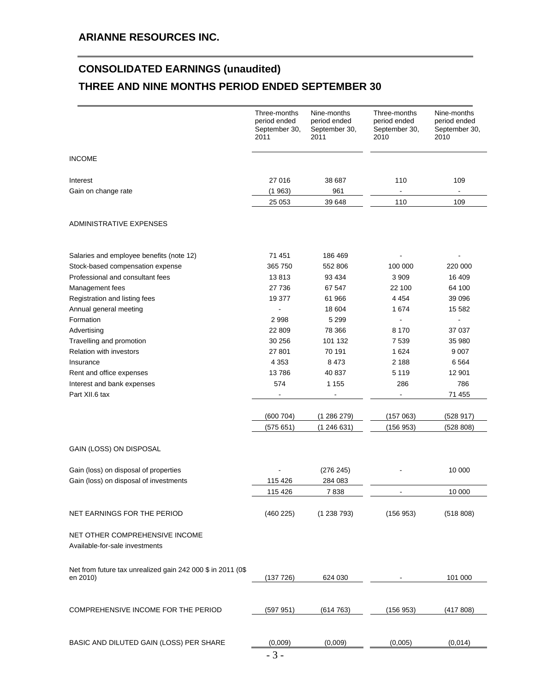# **CONSOLIDATED EARNINGS (unaudited) THREE AND NINE MONTHS PERIOD ENDED SEPTEMBER 30**

|                                                                          | Three-months<br>period ended<br>September 30,<br>2011 | Nine-months<br>period ended<br>September 30,<br>2011 | Three-months<br>period ended<br>September 30,<br>2010 | Nine-months<br>period ended<br>September 30,<br>2010 |
|--------------------------------------------------------------------------|-------------------------------------------------------|------------------------------------------------------|-------------------------------------------------------|------------------------------------------------------|
| <b>INCOME</b>                                                            |                                                       |                                                      |                                                       |                                                      |
| Interest<br>Gain on change rate                                          | 27 016<br>(1963)                                      | 38 687<br>961                                        | 110<br>÷,                                             | 109<br>$\blacksquare$                                |
|                                                                          | 25 053                                                | 39 648                                               | 110                                                   | 109                                                  |
| ADMINISTRATIVE EXPENSES                                                  |                                                       |                                                      |                                                       |                                                      |
| Salaries and employee benefits (note 12)                                 | 71 451                                                | 186 469                                              |                                                       |                                                      |
| Stock-based compensation expense                                         | 365 750                                               | 552 806                                              | 100 000                                               | 220 000                                              |
| Professional and consultant fees                                         | 13813                                                 | 93 4 34                                              | 3 9 0 9                                               | 16 409                                               |
| Management fees                                                          | 27 736                                                | 67 547                                               | 22 100                                                | 64 100                                               |
| Registration and listing fees                                            | 19 377                                                | 61 966                                               | 4 4 5 4                                               | 39 096                                               |
| Annual general meeting                                                   |                                                       | 18 604                                               | 1674                                                  | 15 582                                               |
| Formation                                                                | 2998                                                  | 5 2 9 9                                              |                                                       |                                                      |
| Advertising                                                              | 22 809                                                | 78 366                                               | 8 1 7 0                                               | 37 037                                               |
| Travelling and promotion                                                 | 30 256                                                | 101 132                                              | 7 5 3 9                                               | 35 980                                               |
| <b>Relation with investors</b>                                           | 27 801                                                | 70 191                                               | 1 624                                                 | 9 0 0 7                                              |
| Insurance                                                                | 4 3 5 3                                               | 8 4 7 3                                              | 2 1 8 8                                               | 6 5 6 4                                              |
| Rent and office expenses                                                 | 13786                                                 | 40 837                                               | 5 1 1 9                                               | 12 901                                               |
| Interest and bank expenses                                               | 574                                                   | 1 1 5 5                                              | 286                                                   | 786                                                  |
| Part XII.6 tax                                                           | $\overline{\phantom{a}}$                              | $\blacksquare$                                       | $\blacksquare$                                        | 71 455                                               |
|                                                                          | (600704)                                              | (1286279)                                            | (157063)                                              | (528917)                                             |
|                                                                          | (575651)                                              | (1246631)                                            | (156953)                                              | (528 808)                                            |
| GAIN (LOSS) ON DISPOSAL                                                  |                                                       |                                                      |                                                       |                                                      |
| Gain (loss) on disposal of properties                                    |                                                       | (276 245)                                            |                                                       | 10 000                                               |
| Gain (loss) on disposal of investments                                   | 115 426                                               | 284 083                                              |                                                       |                                                      |
|                                                                          | 115 426                                               | 7838                                                 |                                                       | 10 000                                               |
| NET EARNINGS FOR THE PERIOD                                              | (460 225)                                             | (1238793)                                            | (156953)                                              | (518 808)                                            |
| NET OTHER COMPREHENSIVE INCOME<br>Available-for-sale investments         |                                                       |                                                      |                                                       |                                                      |
|                                                                          |                                                       |                                                      |                                                       |                                                      |
| Net from future tax unrealized gain 242 000 \$ in 2011 (0\$)<br>en 2010) | (137 726)                                             | 624 030                                              |                                                       | 101 000                                              |
|                                                                          |                                                       |                                                      |                                                       |                                                      |
| COMPREHENSIVE INCOME FOR THE PERIOD                                      | (597951)                                              | (614763)                                             | (156953)                                              | (417808)                                             |
|                                                                          |                                                       |                                                      |                                                       |                                                      |
| BASIC AND DILUTED GAIN (LOSS) PER SHARE                                  | (0,009)                                               | (0,009)                                              | (0,005)                                               | (0,014)                                              |
|                                                                          | $-3-$                                                 |                                                      |                                                       |                                                      |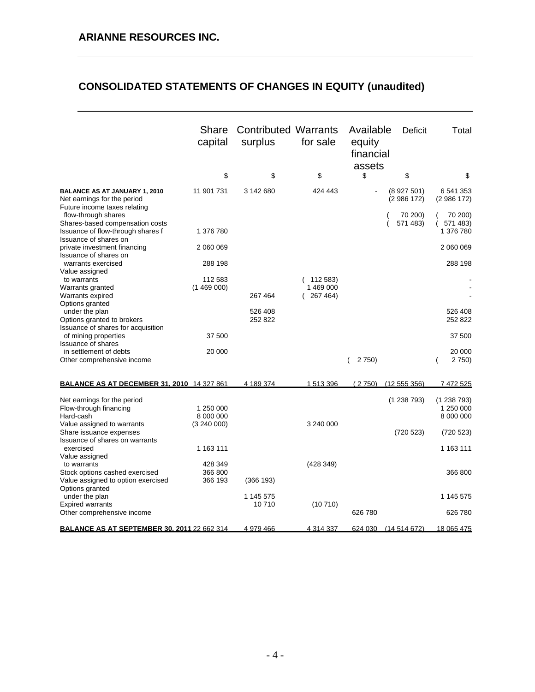# **CONSOLIDATED STATEMENTS OF CHANGES IN EQUITY (unaudited)**

|                                                                                                     | Share<br>capital              | <b>Contributed Warrants</b><br>surplus | for sale                          | Available<br>equity<br>financial<br>assets | <b>Deficit</b>         | Total                               |
|-----------------------------------------------------------------------------------------------------|-------------------------------|----------------------------------------|-----------------------------------|--------------------------------------------|------------------------|-------------------------------------|
|                                                                                                     | \$                            | \$                                     | \$                                | \$                                         | \$                     | \$                                  |
| <b>BALANCE AS AT JANUARY 1, 2010</b><br>Net earnings for the period<br>Future income taxes relating | 11 901 731                    | 3 142 680                              | 424 443                           |                                            | (8927501)<br>(2986172) | 6 541 353<br>(2986172)              |
| flow-through shares<br>Shares-based compensation costs<br>Issuance of flow-through shares f         | 1 376 780                     |                                        |                                   |                                            | 70 200)<br>571 483)    | 70 200)<br>571 483)<br>1 376 780    |
| Issuance of shares on<br>private investment financing<br>Issuance of shares on                      | 2 060 069                     |                                        |                                   |                                            |                        | 2 060 069                           |
| warrants exercised<br>Value assigned                                                                | 288 198                       |                                        |                                   |                                            |                        | 288 198                             |
| to warrants<br>Warrants granted<br>Warrants expired                                                 | 112 583<br>(1469000)          | 267 464                                | (112583)<br>1 469 000<br>267 464) |                                            |                        |                                     |
| Options granted<br>under the plan<br>Options granted to brokers                                     |                               | 526 408<br>252 822                     |                                   |                                            |                        | 526 408<br>252 822                  |
| Issuance of shares for acquisition<br>of mining properties                                          | 37 500                        |                                        |                                   |                                            |                        | 37 500                              |
| <b>Issuance of shares</b><br>in settlement of debts<br>Other comprehensive income                   | 20 000                        |                                        |                                   | 2 7 5 0)                                   |                        | 20 000<br>2 750)                    |
| <b>BALANCE AS AT DECEMBER 31, 2010 14 327 861</b>                                                   |                               | 4 189 374                              | 1 513 396                         | (2750)                                     | (12555356)             | 7 472 525                           |
| Net earnings for the period<br>Flow-through financing<br>Hard-cash                                  | 1 250 000<br>8 000 000        |                                        |                                   |                                            | (1238793)              | (1238793)<br>1 250 000<br>8 000 000 |
| Value assigned to warrants<br>Share issuance expenses<br>Issuance of shares on warrants             | (3 240 000)                   |                                        | 3 240 000                         |                                            | (720523)               | (720523)                            |
| exercised<br>Value assigned                                                                         | 1 163 111                     |                                        |                                   |                                            |                        | 1 163 111                           |
| to warrants<br>Stock options cashed exercised<br>Value assigned to option exercised                 | 428 349<br>366 800<br>366 193 | (366 193)                              | (428 349)                         |                                            |                        | 366 800                             |
| Options granted<br>under the plan<br><b>Expired warrants</b>                                        |                               | 1 145 575<br>10710                     | (10710)                           |                                            |                        | 1 145 575                           |
| Other comprehensive income                                                                          |                               |                                        |                                   | 626 780                                    |                        | 626 780                             |
| <b>BALANCE AS AT SEPTEMBER 30. 2011 22 662 314</b>                                                  |                               | 4 979 466                              | 4 314 337                         | 624 030                                    | (14514672)             | 18 065 475                          |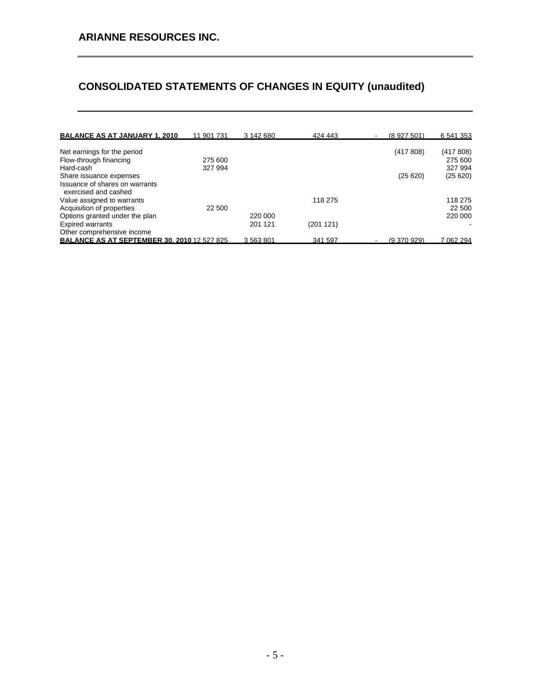# **CONSOLIDATED STATEMENTS OF CHANGES IN EQUITY (unaudited)**

| <b>BALANCE AS AT JANUARY 1, 2010</b>                   | 11 901 731 | 3 142 680 | 424 443  | (8927501)<br>۰ | 6 541 353 |
|--------------------------------------------------------|------------|-----------|----------|----------------|-----------|
| Net earnings for the period                            |            |           |          | (417808)       | (417 808) |
|                                                        | 275 600    |           |          |                | 275 600   |
| Flow-through financing                                 |            |           |          |                |           |
| Hard-cash                                              | 327 994    |           |          |                | 327 994   |
| Share issuance expenses                                |            |           |          | (25620)        | (25620)   |
| Issuance of shares on warrants<br>exercised and cashed |            |           |          |                |           |
| Value assigned to warrants                             |            |           | 118 275  |                | 118 275   |
| Acquisition of properties                              | 22 500     |           |          |                | 22 500    |
| Options granted under the plan                         |            | 220 000   |          |                | 220 000   |
| <b>Expired warrants</b>                                |            | 201 121   | (201121) |                |           |
| Other comprehensive income                             |            |           |          |                |           |
| <b>BALANCE AS AT SEPTEMBER 30, 2010 12 527 825</b>     |            | 3563801   | 341 597  | (9.370.929)    | 7 062 294 |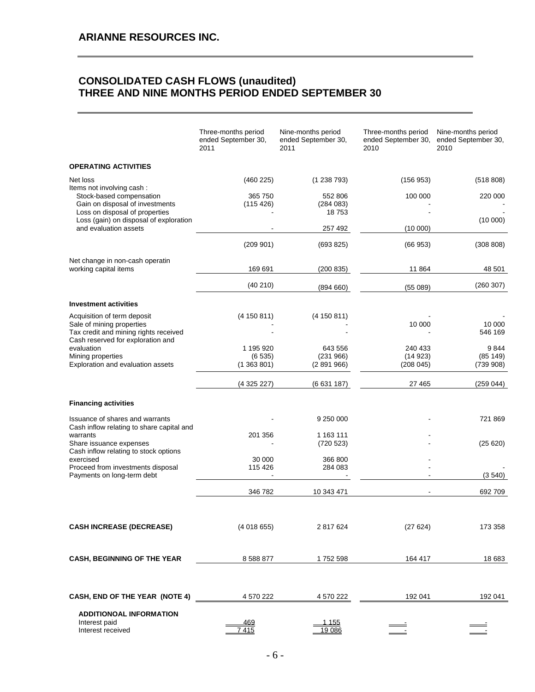## **CONSOLIDATED CASH FLOWS (unaudited) THREE AND NINE MONTHS PERIOD ENDED SEPTEMBER 30**

|                                                                                                                             | Three-months period<br>ended September 30,<br>2011 | Nine-months period<br>ended September 30,<br>2011 | Three-months period<br>ended September 30,<br>2010 | Nine-months period<br>ended September 30,<br>2010 |
|-----------------------------------------------------------------------------------------------------------------------------|----------------------------------------------------|---------------------------------------------------|----------------------------------------------------|---------------------------------------------------|
| <b>OPERATING ACTIVITIES</b>                                                                                                 |                                                    |                                                   |                                                    |                                                   |
| Net loss                                                                                                                    | (460 225)                                          | (1238793)                                         | (156953)                                           | (518808)                                          |
| Items not involving cash :<br>Stock-based compensation<br>Gain on disposal of investments<br>Loss on disposal of properties | 365 750<br>(115 426)                               | 552 806<br>(284083)<br>18753                      | 100 000                                            | 220 000                                           |
| Loss (gain) on disposal of exploration<br>and evaluation assets                                                             |                                                    | 257 492                                           | (10000)                                            | (10000)                                           |
|                                                                                                                             | (209901)                                           | (693 825)                                         | (66953)                                            | (308 808)                                         |
| Net change in non-cash operatin<br>working capital items                                                                    | 169 691                                            | (200 835)                                         | 11864                                              | 48 501                                            |
|                                                                                                                             | (40210)                                            | (894660)                                          | (55089)                                            | (260 307)                                         |
| <b>Investment activities</b>                                                                                                |                                                    |                                                   |                                                    |                                                   |
| Acquisition of term deposit<br>Sale of mining properties<br>Tax credit and mining rights received                           | (4 150 811)                                        | (4 150 811)                                       | 10 000                                             | 10 000<br>546 169                                 |
| Cash reserved for exploration and<br>evaluation                                                                             | 1 195 920                                          | 643 556                                           | 240 433                                            | 9844                                              |
| Mining properties                                                                                                           | (6535)<br>(1363801)                                | (231966)<br>(2891966)                             | (14923)<br>(208045)                                | (85149)<br>(739908)                               |
| Exploration and evaluation assets                                                                                           |                                                    |                                                   |                                                    |                                                   |
|                                                                                                                             | (4325227)                                          | (6631187)                                         | 27 465                                             | (259 044)                                         |
| <b>Financing activities</b>                                                                                                 |                                                    |                                                   |                                                    |                                                   |
| Issuance of shares and warrants<br>Cash inflow relating to share capital and                                                |                                                    | 9 250 000                                         |                                                    | 721869                                            |
| warrants<br>Share issuance expenses                                                                                         | 201 356                                            | 1 163 111<br>(720 523)                            |                                                    | (25620)                                           |
| Cash inflow relating to stock options<br>exercised                                                                          | 30 000                                             | 366 800                                           |                                                    |                                                   |
| Proceed from investments disposal<br>Payments on long-term debt                                                             | 115 426<br>$\blacksquare$                          | 284 083                                           |                                                    |                                                   |
|                                                                                                                             |                                                    |                                                   |                                                    | (3540)                                            |
|                                                                                                                             | 346 782                                            | 10 343 471                                        |                                                    | 692 709                                           |
| <b>CASH INCREASE (DECREASE)</b>                                                                                             | (4018655)                                          | 2 817 624                                         | (27624)                                            | 173 358                                           |
| CASH, BEGINNING OF THE YEAR                                                                                                 | 8 5 8 8 8 7 7                                      | 1752 598                                          | 164 417                                            | 18 683                                            |
| CASH, END OF THE YEAR (NOTE 4)                                                                                              | 4 570 222                                          | 4 570 222                                         | 192 041                                            | 192 041                                           |
| <b>ADDITIONOAL INFORMATION</b><br>Interest paid<br>Interest received                                                        | 469<br>7415                                        | 1 155<br>19 086                                   |                                                    |                                                   |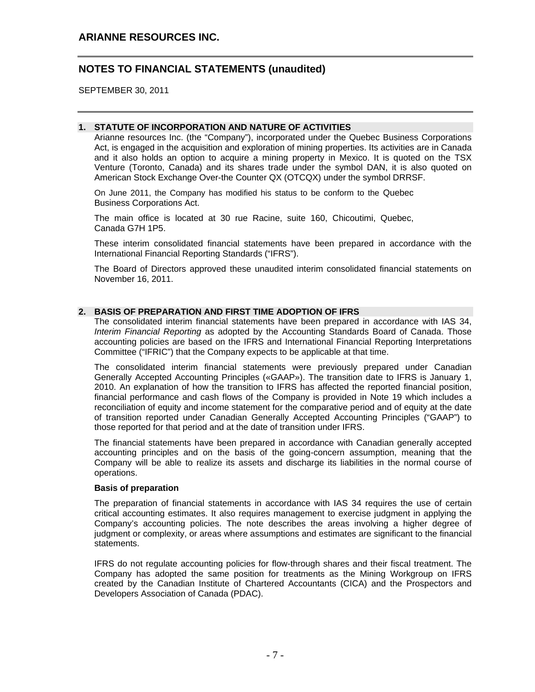SEPTEMBER 30, 2011

### $\overline{\phantom{a}}$ **1. STATUTE OF INCORPORATION AND NATURE OF ACTIVITIES**

Arianne resources Inc. (the "Company"), incorporated under the Quebec Business Corporations Act, is engaged in the acquisition and exploration of mining properties. Its activities are in Canada and it also holds an option to acquire a mining property in Mexico. It is quoted on the TSX Venture (Toronto, Canada) and its shares trade under the symbol DAN, it is also quoted on American Stock Exchange Over-the Counter QX (OTCQX) under the symbol DRRSF.

On June 2011, the Company has modified his status to be conform to the Quebec Business Corporations Act.

The main office is located at 30 rue Racine, suite 160, Chicoutimi, Quebec, Canada G7H 1P5.

These interim consolidated financial statements have been prepared in accordance with the International Financial Reporting Standards ("IFRS").

The Board of Directors approved these unaudited interim consolidated financial statements on November 16, 2011.

## **2. BASIS OF PREPARATION AND FIRST TIME ADOPTION OF IFRS**

The consolidated interim financial statements have been prepared in accordance with IAS 34, *Interim Financial Reporting* as adopted by the Accounting Standards Board of Canada. Those accounting policies are based on the IFRS and International Financial Reporting Interpretations Committee ("IFRIC") that the Company expects to be applicable at that time.

The consolidated interim financial statements were previously prepared under Canadian Generally Accepted Accounting Principles («GAAP»). The transition date to IFRS is January 1, 2010. An explanation of how the transition to IFRS has affected the reported financial position, financial performance and cash flows of the Company is provided in Note 19 which includes a reconciliation of equity and income statement for the comparative period and of equity at the date of transition reported under Canadian Generally Accepted Accounting Principles ("GAAP") to those reported for that period and at the date of transition under IFRS.

The financial statements have been prepared in accordance with Canadian generally accepted accounting principles and on the basis of the going-concern assumption, meaning that the Company will be able to realize its assets and discharge its liabilities in the normal course of operations.

#### **Basis of preparation**

The preparation of financial statements in accordance with IAS 34 requires the use of certain critical accounting estimates. It also requires management to exercise judgment in applying the Company's accounting policies. The note describes the areas involving a higher degree of judgment or complexity, or areas where assumptions and estimates are significant to the financial statements.

IFRS do not regulate accounting policies for flow-through shares and their fiscal treatment. The Company has adopted the same position for treatments as the Mining Workgroup on IFRS created by the Canadian Institute of Chartered Accountants (CICA) and the Prospectors and Developers Association of Canada (PDAC).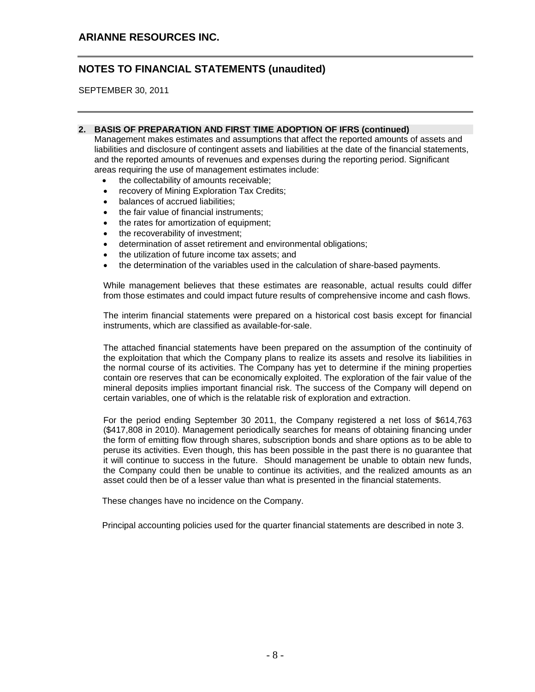SEPTEMBER 30, 2011

## **2. BASIS OF PREPARATION AND FIRST TIME ADOPTION OF IFRS (continued)**

Management makes estimates and assumptions that affect the reported amounts of assets and liabilities and disclosure of contingent assets and liabilities at the date of the financial statements, and the reported amounts of revenues and expenses during the reporting period. Significant areas requiring the use of management estimates include:

- the collectability of amounts receivable;
- recovery of Mining Exploration Tax Credits;
- balances of accrued liabilities;
- the fair value of financial instruments:
- the rates for amortization of equipment;
- the recoverability of investment;
- determination of asset retirement and environmental obligations;
- the utilization of future income tax assets; and
- the determination of the variables used in the calculation of share-based payments.

While management believes that these estimates are reasonable, actual results could differ from those estimates and could impact future results of comprehensive income and cash flows.

The interim financial statements were prepared on a historical cost basis except for financial instruments, which are classified as available-for-sale.

The attached financial statements have been prepared on the assumption of the continuity of the exploitation that which the Company plans to realize its assets and resolve its liabilities in the normal course of its activities. The Company has yet to determine if the mining properties contain ore reserves that can be economically exploited. The exploration of the fair value of the mineral deposits implies important financial risk. The success of the Company will depend on certain variables, one of which is the relatable risk of exploration and extraction.

For the period ending September 30 2011, the Company registered a net loss of \$614,763 (\$417,808 in 2010). Management periodically searches for means of obtaining financing under the form of emitting flow through shares, subscription bonds and share options as to be able to peruse its activities. Even though, this has been possible in the past there is no guarantee that it will continue to success in the future. Should management be unable to obtain new funds, the Company could then be unable to continue its activities, and the realized amounts as an asset could then be of a lesser value than what is presented in the financial statements.

These changes have no incidence on the Company.

Principal accounting policies used for the quarter financial statements are described in note 3.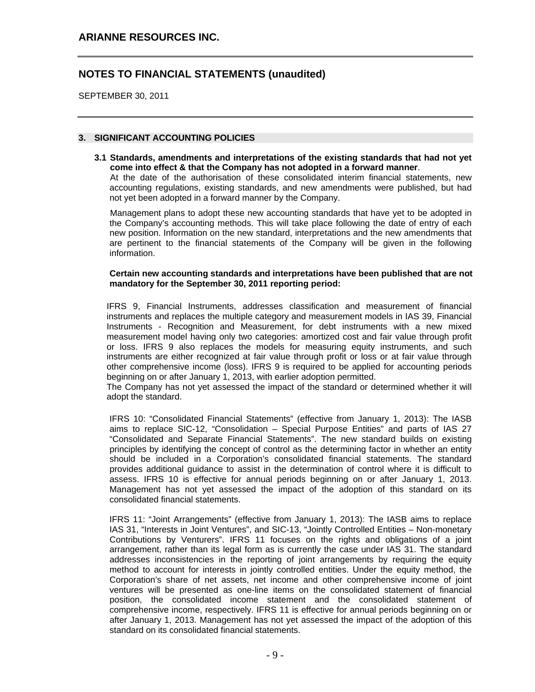SEPTEMBER 30, 2011

## **3. SIGNIFICANT ACCOUNTING POLICIES**

**3.1 Standards, amendments and interpretations of the existing standards that had not yet come into effect & that the Company has not adopted in a forward manner**.

At the date of the authorisation of these consolidated interim financial statements, new accounting regulations, existing standards, and new amendments were published, but had not yet been adopted in a forward manner by the Company.

Management plans to adopt these new accounting standards that have yet to be adopted in the Company's accounting methods. This will take place following the date of entry of each new position. Information on the new standard, interpretations and the new amendments that are pertinent to the financial statements of the Company will be given in the following information.

### **Certain new accounting standards and interpretations have been published that are not mandatory for the September 30, 2011 reporting period:**

IFRS 9, Financial Instruments, addresses classification and measurement of financial instruments and replaces the multiple category and measurement models in IAS 39, Financial Instruments - Recognition and Measurement, for debt instruments with a new mixed measurement model having only two categories: amortized cost and fair value through profit or loss. IFRS 9 also replaces the models for measuring equity instruments, and such instruments are either recognized at fair value through profit or loss or at fair value through other comprehensive income (loss). IFRS 9 is required to be applied for accounting periods beginning on or after January 1, 2013, with earlier adoption permitted.

The Company has not yet assessed the impact of the standard or determined whether it will adopt the standard.

IFRS 10: "Consolidated Financial Statements" (effective from January 1, 2013): The IASB aims to replace SIC-12, "Consolidation – Special Purpose Entities" and parts of IAS 27 "Consolidated and Separate Financial Statements". The new standard builds on existing principles by identifying the concept of control as the determining factor in whether an entity should be included in a Corporation's consolidated financial statements. The standard provides additional guidance to assist in the determination of control where it is difficult to assess. IFRS 10 is effective for annual periods beginning on or after January 1, 2013. Management has not yet assessed the impact of the adoption of this standard on its consolidated financial statements.

IFRS 11: "Joint Arrangements" (effective from January 1, 2013): The IASB aims to replace IAS 31, "Interests in Joint Ventures", and SIC-13, "Jointly Controlled Entities – Non-monetary Contributions by Venturers". IFRS 11 focuses on the rights and obligations of a joint arrangement, rather than its legal form as is currently the case under IAS 31. The standard addresses inconsistencies in the reporting of joint arrangements by requiring the equity method to account for interests in jointly controlled entities. Under the equity method, the Corporation's share of net assets, net income and other comprehensive income of joint ventures will be presented as one-line items on the consolidated statement of financial position, the consolidated income statement and the consolidated statement of comprehensive income, respectively. IFRS 11 is effective for annual periods beginning on or after January 1, 2013. Management has not yet assessed the impact of the adoption of this standard on its consolidated financial statements.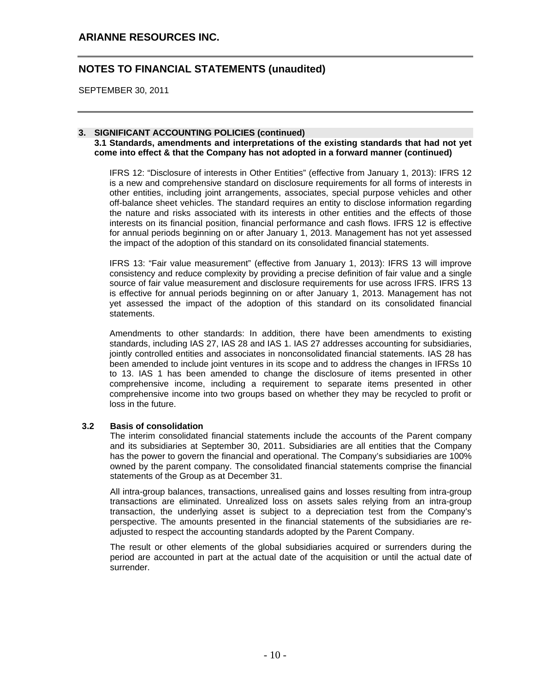## **ARIANNE RESOURCES INC.**

## **NOTES TO FINANCIAL STATEMENTS (unaudited)**

SEPTEMBER 30, 2011

## **3. SIGNIFICANT ACCOUNTING POLICIES (continued)**

**3.1 Standards, amendments and interpretations of the existing standards that had not yet come into effect & that the Company has not adopted in a forward manner (continued)**

IFRS 12: "Disclosure of interests in Other Entities" (effective from January 1, 2013): IFRS 12 is a new and comprehensive standard on disclosure requirements for all forms of interests in other entities, including joint arrangements, associates, special purpose vehicles and other off-balance sheet vehicles. The standard requires an entity to disclose information regarding the nature and risks associated with its interests in other entities and the effects of those interests on its financial position, financial performance and cash flows. IFRS 12 is effective for annual periods beginning on or after January 1, 2013. Management has not yet assessed the impact of the adoption of this standard on its consolidated financial statements.

IFRS 13: "Fair value measurement" (effective from January 1, 2013): IFRS 13 will improve consistency and reduce complexity by providing a precise definition of fair value and a single source of fair value measurement and disclosure requirements for use across IFRS. IFRS 13 is effective for annual periods beginning on or after January 1, 2013. Management has not yet assessed the impact of the adoption of this standard on its consolidated financial statements.

Amendments to other standards: In addition, there have been amendments to existing standards, including IAS 27, IAS 28 and IAS 1. IAS 27 addresses accounting for subsidiaries, jointly controlled entities and associates in nonconsolidated financial statements. IAS 28 has been amended to include joint ventures in its scope and to address the changes in IFRSs 10 to 13. IAS 1 has been amended to change the disclosure of items presented in other comprehensive income, including a requirement to separate items presented in other comprehensive income into two groups based on whether they may be recycled to profit or loss in the future.

## **3.2 Basis of consolidation**

The interim consolidated financial statements include the accounts of the Parent company and its subsidiaries at September 30, 2011. Subsidiaries are all entities that the Company has the power to govern the financial and operational. The Company's subsidiaries are 100% owned by the parent company. The consolidated financial statements comprise the financial statements of the Group as at December 31.

All intra-group balances, transactions, unrealised gains and losses resulting from intra-group transactions are eliminated. Unrealized loss on assets sales relying from an intra-group transaction, the underlying asset is subject to a depreciation test from the Company's perspective. The amounts presented in the financial statements of the subsidiaries are readjusted to respect the accounting standards adopted by the Parent Company.

The result or other elements of the global subsidiaries acquired or surrenders during the period are accounted in part at the actual date of the acquisition or until the actual date of surrender.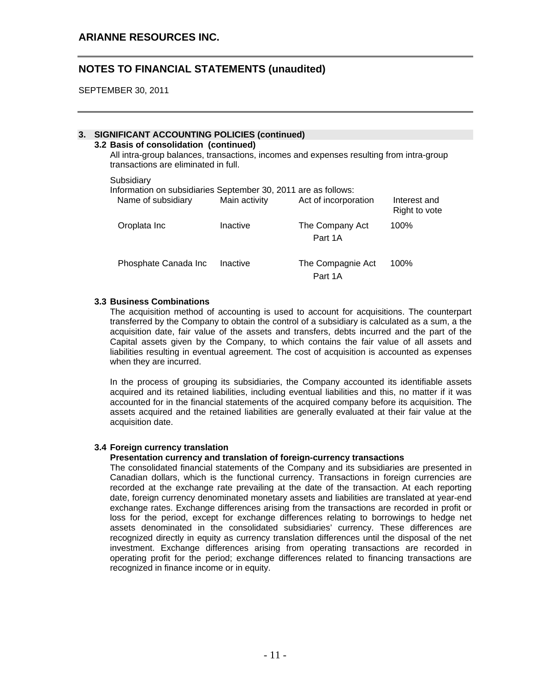SEPTEMBER 30, 2011

## **3. SIGNIFICANT ACCOUNTING POLICIES (continued)**

## **3.2 Basis of consolidation (continued)**

All intra-group balances, transactions, incomes and expenses resulting from intra-group transactions are eliminated in full.

**Subsidiary** 

|  |  |  |  |  | Information on subsidiaries September 30, 2011 are as follows: |
|--|--|--|--|--|----------------------------------------------------------------|
|--|--|--|--|--|----------------------------------------------------------------|

| Name of subsidiary   | Main activity | Act of incorporation         | Interest and<br>Right to vote |
|----------------------|---------------|------------------------------|-------------------------------|
| Oroplata Inc         | Inactive      | The Company Act<br>Part 1A   | 100%                          |
| Phosphate Canada Inc | Inactive      | The Compagnie Act<br>Part 1A | 100%                          |

### **3.3 Business Combinations**

The acquisition method of accounting is used to account for acquisitions. The counterpart transferred by the Company to obtain the control of a subsidiary is calculated as a sum, a the acquisition date, fair value of the assets and transfers, debts incurred and the part of the Capital assets given by the Company, to which contains the fair value of all assets and liabilities resulting in eventual agreement. The cost of acquisition is accounted as expenses when they are incurred.

In the process of grouping its subsidiaries, the Company accounted its identifiable assets acquired and its retained liabilities, including eventual liabilities and this, no matter if it was accounted for in the financial statements of the acquired company before its acquisition. The assets acquired and the retained liabilities are generally evaluated at their fair value at the acquisition date.

#### **3.4 Foreign currency translation**

### **Presentation currency and translation of foreign-currency transactions**

The consolidated financial statements of the Company and its subsidiaries are presented in Canadian dollars, which is the functional currency. Transactions in foreign currencies are recorded at the exchange rate prevailing at the date of the transaction. At each reporting date, foreign currency denominated monetary assets and liabilities are translated at year-end exchange rates. Exchange differences arising from the transactions are recorded in profit or loss for the period, except for exchange differences relating to borrowings to hedge net assets denominated in the consolidated subsidiaries' currency. These differences are recognized directly in equity as currency translation differences until the disposal of the net investment. Exchange differences arising from operating transactions are recorded in operating profit for the period; exchange differences related to financing transactions are recognized in finance income or in equity.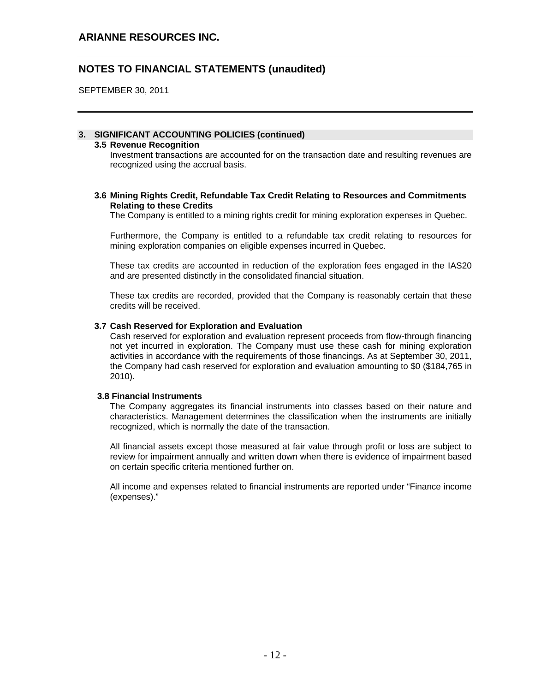SEPTEMBER 30, 2011

## **3. SIGNIFICANT ACCOUNTING POLICIES (continued)**

### **3.5 Revenue Recognition**

Investment transactions are accounted for on the transaction date and resulting revenues are recognized using the accrual basis.

### **3.6 Mining Rights Credit, Refundable Tax Credit Relating to Resources and Commitments Relating to these Credits**

The Company is entitled to a mining rights credit for mining exploration expenses in Quebec.

Furthermore, the Company is entitled to a refundable tax credit relating to resources for mining exploration companies on eligible expenses incurred in Quebec.

These tax credits are accounted in reduction of the exploration fees engaged in the IAS20 and are presented distinctly in the consolidated financial situation.

These tax credits are recorded, provided that the Company is reasonably certain that these credits will be received.

#### **3.7 Cash Reserved for Exploration and Evaluation**

Cash reserved for exploration and evaluation represent proceeds from flow-through financing not yet incurred in exploration. The Company must use these cash for mining exploration activities in accordance with the requirements of those financings. As at September 30, 2011, the Company had cash reserved for exploration and evaluation amounting to \$0 (\$184,765 in 2010).

#### **3.8 Financial Instruments**

The Company aggregates its financial instruments into classes based on their nature and characteristics. Management determines the classification when the instruments are initially recognized, which is normally the date of the transaction.

All financial assets except those measured at fair value through profit or loss are subject to review for impairment annually and written down when there is evidence of impairment based on certain specific criteria mentioned further on.

All income and expenses related to financial instruments are reported under "Finance income (expenses)."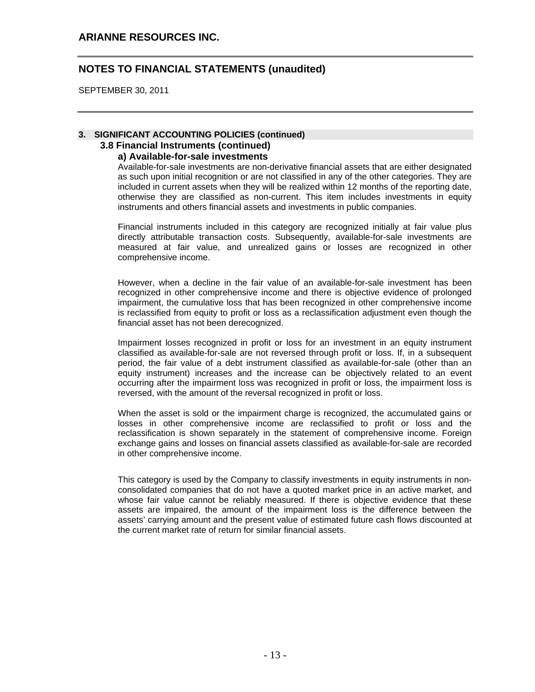SEPTEMBER 30, 2011

## **3. SIGNIFICANT ACCOUNTING POLICIES (continued) 3.8 Financial Instruments (continued)**

## **a) Available-for-sale investments**

Available-for-sale investments are non-derivative financial assets that are either designated as such upon initial recognition or are not classified in any of the other categories. They are included in current assets when they will be realized within 12 months of the reporting date, otherwise they are classified as non-current. This item includes investments in equity instruments and others financial assets and investments in public companies.

Financial instruments included in this category are recognized initially at fair value plus directly attributable transaction costs. Subsequently, available-for-sale investments are measured at fair value, and unrealized gains or losses are recognized in other comprehensive income.

However, when a decline in the fair value of an available-for-sale investment has been recognized in other comprehensive income and there is objective evidence of prolonged impairment, the cumulative loss that has been recognized in other comprehensive income is reclassified from equity to profit or loss as a reclassification adjustment even though the financial asset has not been derecognized.

Impairment losses recognized in profit or loss for an investment in an equity instrument classified as available-for-sale are not reversed through profit or loss. If, in a subsequent period, the fair value of a debt instrument classified as available-for-sale (other than an equity instrument) increases and the increase can be objectively related to an event occurring after the impairment loss was recognized in profit or loss, the impairment loss is reversed, with the amount of the reversal recognized in profit or loss.

When the asset is sold or the impairment charge is recognized, the accumulated gains or losses in other comprehensive income are reclassified to profit or loss and the reclassification is shown separately in the statement of comprehensive income. Foreign exchange gains and losses on financial assets classified as available-for-sale are recorded in other comprehensive income.

This category is used by the Company to classify investments in equity instruments in nonconsolidated companies that do not have a quoted market price in an active market, and whose fair value cannot be reliably measured. If there is objective evidence that these assets are impaired, the amount of the impairment loss is the difference between the assets' carrying amount and the present value of estimated future cash flows discounted at the current market rate of return for similar financial assets.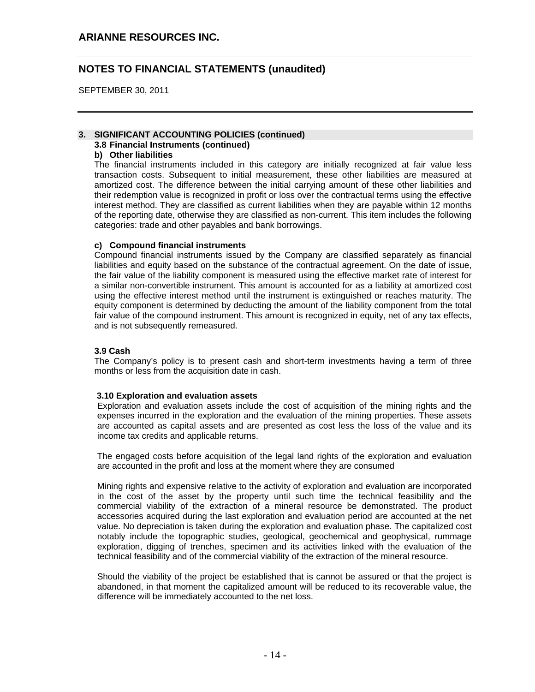SEPTEMBER 30, 2011

#### **3. SIGNIFICANT ACCOUNTING POLICIES (continued) 3.8 Financial Instruments (continued)**

# **b) Other liabilities**

The financial instruments included in this category are initially recognized at fair value less transaction costs. Subsequent to initial measurement, these other liabilities are measured at amortized cost. The difference between the initial carrying amount of these other liabilities and their redemption value is recognized in profit or loss over the contractual terms using the effective interest method. They are classified as current liabilities when they are payable within 12 months of the reporting date, otherwise they are classified as non-current. This item includes the following categories: trade and other payables and bank borrowings.

## **c) Compound financial instruments**

Compound financial instruments issued by the Company are classified separately as financial liabilities and equity based on the substance of the contractual agreement. On the date of issue, the fair value of the liability component is measured using the effective market rate of interest for a similar non-convertible instrument. This amount is accounted for as a liability at amortized cost using the effective interest method until the instrument is extinguished or reaches maturity. The equity component is determined by deducting the amount of the liability component from the total fair value of the compound instrument. This amount is recognized in equity, net of any tax effects, and is not subsequently remeasured.

## **3.9 Cash**

The Company's policy is to present cash and short-term investments having a term of three months or less from the acquisition date in cash.

## **3.10 Exploration and evaluation assets**

Exploration and evaluation assets include the cost of acquisition of the mining rights and the expenses incurred in the exploration and the evaluation of the mining properties. These assets are accounted as capital assets and are presented as cost less the loss of the value and its income tax credits and applicable returns.

The engaged costs before acquisition of the legal land rights of the exploration and evaluation are accounted in the profit and loss at the moment where they are consumed

Mining rights and expensive relative to the activity of exploration and evaluation are incorporated in the cost of the asset by the property until such time the technical feasibility and the commercial viability of the extraction of a mineral resource be demonstrated. The product accessories acquired during the last exploration and evaluation period are accounted at the net value. No depreciation is taken during the exploration and evaluation phase. The capitalized cost notably include the topographic studies, geological, geochemical and geophysical, rummage exploration, digging of trenches, specimen and its activities linked with the evaluation of the technical feasibility and of the commercial viability of the extraction of the mineral resource.

Should the viability of the project be established that is cannot be assured or that the project is abandoned, in that moment the capitalized amount will be reduced to its recoverable value, the difference will be immediately accounted to the net loss.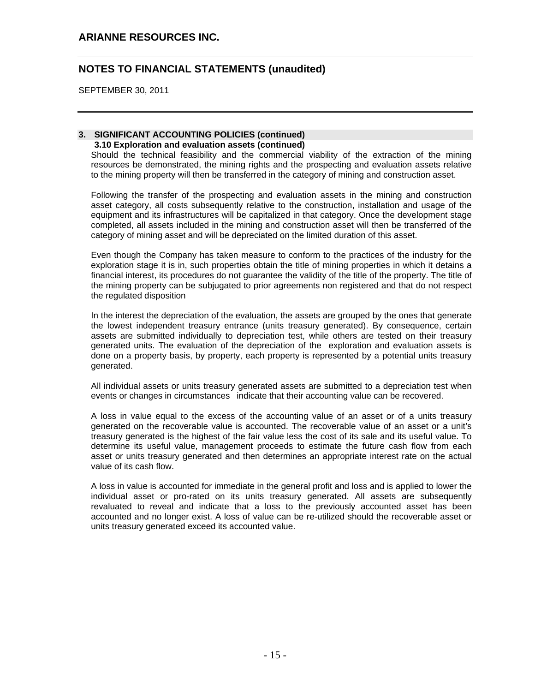SEPTEMBER 30, 2011

## **3. SIGNIFICANT ACCOUNTING POLICIES (continued) 3.10 Exploration and evaluation assets (continued)**

Should the technical feasibility and the commercial viability of the extraction of the mining resources be demonstrated, the mining rights and the prospecting and evaluation assets relative to the mining property will then be transferred in the category of mining and construction asset.

Following the transfer of the prospecting and evaluation assets in the mining and construction asset category, all costs subsequently relative to the construction, installation and usage of the equipment and its infrastructures will be capitalized in that category. Once the development stage completed, all assets included in the mining and construction asset will then be transferred of the category of mining asset and will be depreciated on the limited duration of this asset.

Even though the Company has taken measure to conform to the practices of the industry for the exploration stage it is in, such properties obtain the title of mining properties in which it detains a financial interest, its procedures do not guarantee the validity of the title of the property. The title of the mining property can be subjugated to prior agreements non registered and that do not respect the regulated disposition

In the interest the depreciation of the evaluation, the assets are grouped by the ones that generate the lowest independent treasury entrance (units treasury generated). By consequence, certain assets are submitted individually to depreciation test, while others are tested on their treasury generated units. The evaluation of the depreciation of the exploration and evaluation assets is done on a property basis, by property, each property is represented by a potential units treasury generated.

All individual assets or units treasury generated assets are submitted to a depreciation test when events or changes in circumstances indicate that their accounting value can be recovered.

A loss in value equal to the excess of the accounting value of an asset or of a units treasury generated on the recoverable value is accounted. The recoverable value of an asset or a unit's treasury generated is the highest of the fair value less the cost of its sale and its useful value. To determine its useful value, management proceeds to estimate the future cash flow from each asset or units treasury generated and then determines an appropriate interest rate on the actual value of its cash flow.

A loss in value is accounted for immediate in the general profit and loss and is applied to lower the individual asset or pro-rated on its units treasury generated. All assets are subsequently revaluated to reveal and indicate that a loss to the previously accounted asset has been accounted and no longer exist. A loss of value can be re-utilized should the recoverable asset or units treasury generated exceed its accounted value.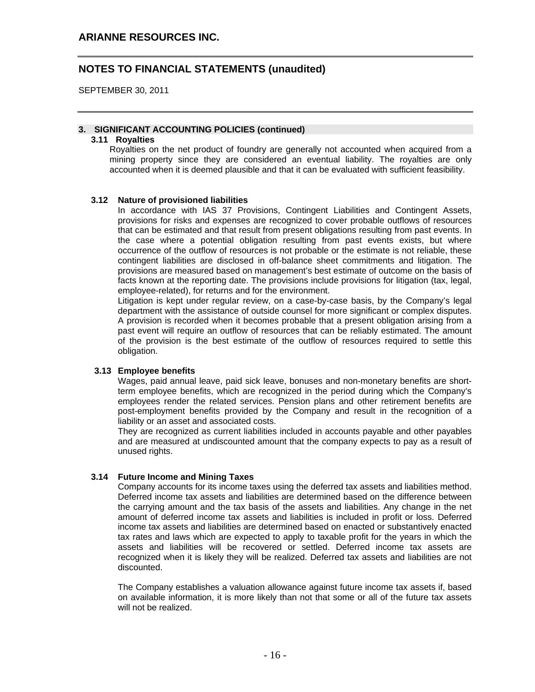SEPTEMBER 30, 2011

### **3. SIGNIFICANT ACCOUNTING POLICIES (continued)**

#### **3.11 Royalties**

Royalties on the net product of foundry are generally not accounted when acquired from a mining property since they are considered an eventual liability. The royalties are only accounted when it is deemed plausible and that it can be evaluated with sufficient feasibility.

### **3.12 Nature of provisioned liabilities**

In accordance with IAS 37 Provisions, Contingent Liabilities and Contingent Assets, provisions for risks and expenses are recognized to cover probable outflows of resources that can be estimated and that result from present obligations resulting from past events. In the case where a potential obligation resulting from past events exists, but where occurrence of the outflow of resources is not probable or the estimate is not reliable, these contingent liabilities are disclosed in off-balance sheet commitments and litigation. The provisions are measured based on management's best estimate of outcome on the basis of facts known at the reporting date. The provisions include provisions for litigation (tax, legal, employee-related), for returns and for the environment.

Litigation is kept under regular review, on a case-by-case basis, by the Company's legal department with the assistance of outside counsel for more significant or complex disputes. A provision is recorded when it becomes probable that a present obligation arising from a past event will require an outflow of resources that can be reliably estimated. The amount of the provision is the best estimate of the outflow of resources required to settle this obligation.

#### **3.13 Employee benefits**

Wages, paid annual leave, paid sick leave, bonuses and non-monetary benefits are shortterm employee benefits, which are recognized in the period during which the Company's employees render the related services. Pension plans and other retirement benefits are post-employment benefits provided by the Company and result in the recognition of a liability or an asset and associated costs.

They are recognized as current liabilities included in accounts payable and other payables and are measured at undiscounted amount that the company expects to pay as a result of unused rights.

#### **3.14 Future Income and Mining Taxes**

Company accounts for its income taxes using the deferred tax assets and liabilities method. Deferred income tax assets and liabilities are determined based on the difference between the carrying amount and the tax basis of the assets and liabilities. Any change in the net amount of deferred income tax assets and liabilities is included in profit or loss. Deferred income tax assets and liabilities are determined based on enacted or substantively enacted tax rates and laws which are expected to apply to taxable profit for the years in which the assets and liabilities will be recovered or settled. Deferred income tax assets are recognized when it is likely they will be realized. Deferred tax assets and liabilities are not discounted.

The Company establishes a valuation allowance against future income tax assets if, based on available information, it is more likely than not that some or all of the future tax assets will not be realized.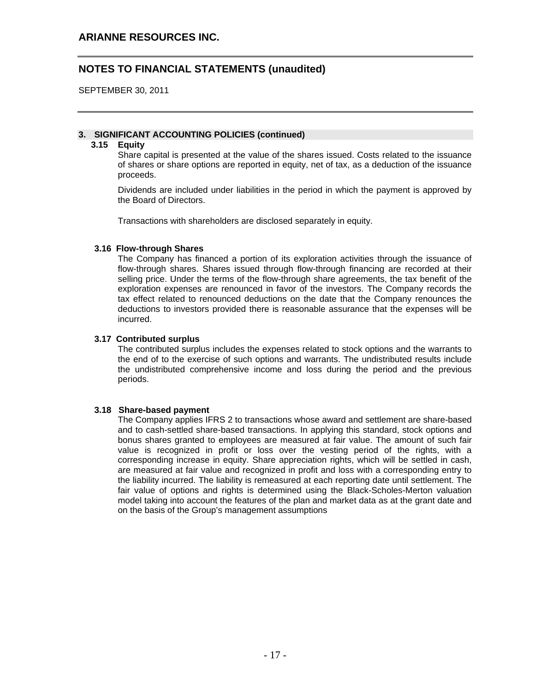SEPTEMBER 30, 2011

## **3. SIGNIFICANT ACCOUNTING POLICIES (continued)**

## **3.15 Equity**

Share capital is presented at the value of the shares issued. Costs related to the issuance of shares or share options are reported in equity, net of tax, as a deduction of the issuance proceeds.

Dividends are included under liabilities in the period in which the payment is approved by the Board of Directors.

Transactions with shareholders are disclosed separately in equity.

### **3.16 Flow-through Shares**

The Company has financed a portion of its exploration activities through the issuance of flow-through shares. Shares issued through flow-through financing are recorded at their selling price. Under the terms of the flow-through share agreements, the tax benefit of the exploration expenses are renounced in favor of the investors. The Company records the tax effect related to renounced deductions on the date that the Company renounces the deductions to investors provided there is reasonable assurance that the expenses will be incurred.

## **3.17 Contributed surplus**

The contributed surplus includes the expenses related to stock options and the warrants to the end of to the exercise of such options and warrants. The undistributed results include the undistributed comprehensive income and loss during the period and the previous periods.

## **3.18 Share-based payment**

The Company applies IFRS 2 to transactions whose award and settlement are share-based and to cash-settled share-based transactions. In applying this standard, stock options and bonus shares granted to employees are measured at fair value. The amount of such fair value is recognized in profit or loss over the vesting period of the rights, with a corresponding increase in equity. Share appreciation rights, which will be settled in cash, are measured at fair value and recognized in profit and loss with a corresponding entry to the liability incurred. The liability is remeasured at each reporting date until settlement. The fair value of options and rights is determined using the Black-Scholes-Merton valuation model taking into account the features of the plan and market data as at the grant date and on the basis of the Group's management assumptions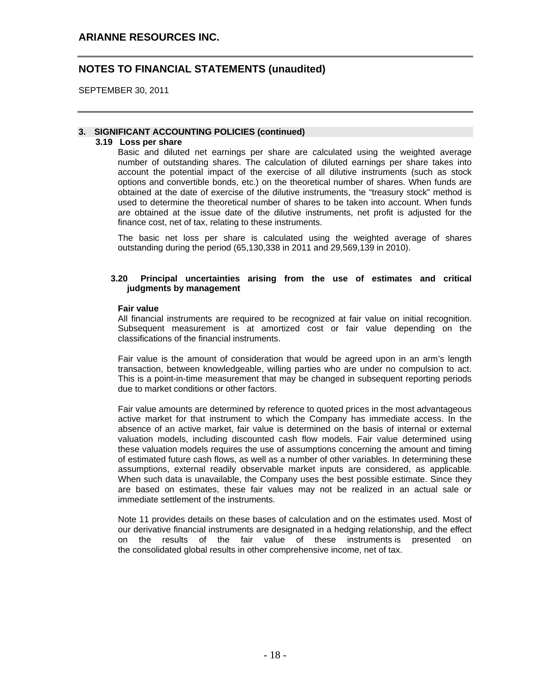SEPTEMBER 30, 2011

## **3. SIGNIFICANT ACCOUNTING POLICIES (continued)**

### **3.19 Loss per share**

Basic and diluted net earnings per share are calculated using the weighted average number of outstanding shares. The calculation of diluted earnings per share takes into account the potential impact of the exercise of all dilutive instruments (such as stock options and convertible bonds, etc.) on the theoretical number of shares. When funds are obtained at the date of exercise of the dilutive instruments, the "treasury stock" method is used to determine the theoretical number of shares to be taken into account. When funds are obtained at the issue date of the dilutive instruments, net profit is adjusted for the finance cost, net of tax, relating to these instruments.

The basic net loss per share is calculated using the weighted average of shares outstanding during the period (65,130,338 in 2011 and 29,569,139 in 2010).

## **3.20 Principal uncertainties arising from the use of estimates and critical judgments by management**

### **Fair value**

All financial instruments are required to be recognized at fair value on initial recognition. Subsequent measurement is at amortized cost or fair value depending on the classifications of the financial instruments.

Fair value is the amount of consideration that would be agreed upon in an arm's length transaction, between knowledgeable, willing parties who are under no compulsion to act. This is a point-in-time measurement that may be changed in subsequent reporting periods due to market conditions or other factors.

Fair value amounts are determined by reference to quoted prices in the most advantageous active market for that instrument to which the Company has immediate access. In the absence of an active market, fair value is determined on the basis of internal or external valuation models, including discounted cash flow models. Fair value determined using these valuation models requires the use of assumptions concerning the amount and timing of estimated future cash flows, as well as a number of other variables. In determining these assumptions, external readily observable market inputs are considered, as applicable. When such data is unavailable, the Company uses the best possible estimate. Since they are based on estimates, these fair values may not be realized in an actual sale or immediate settlement of the instruments.

Note 11 provides details on these bases of calculation and on the estimates used. Most of our derivative financial instruments are designated in a hedging relationship, and the effect on the results of the fair value of these instruments is presented on the consolidated global results in other comprehensive income, net of tax.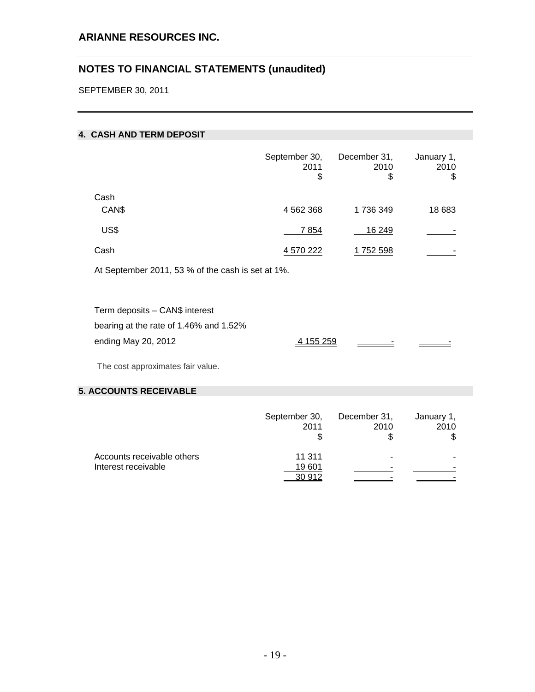# **ARIANNE RESOURCES INC.**

# **NOTES TO FINANCIAL STATEMENTS (unaudited)**

SEPTEMBER 30, 2011

## **4. CASH AND TERM DEPOSIT**

|               | September 30,<br>2011<br>\$ | December 31,<br>2010<br>\$ | January 1,<br>2010<br>\$ |
|---------------|-----------------------------|----------------------------|--------------------------|
| Cash<br>CAN\$ | 4 562 368                   | 1736349                    | 18 683                   |
| US\$          | 7854                        | 16 249                     |                          |
| Cash          | 4 570 222                   | 1752 598                   |                          |

At September 2011, 53 % of the cash is set at 1%.

| Term deposits - CAN\$ interest         |           |                          |                          |
|----------------------------------------|-----------|--------------------------|--------------------------|
| bearing at the rate of 1.46% and 1.52% |           |                          |                          |
| ending May 20, 2012                    | 4 155 259 | $\overline{\phantom{a}}$ | $\overline{\phantom{a}}$ |

The cost approximates fair value.

## **5. ACCOUNTS RECEIVABLE**

|                            | September 30,<br>2011 | December 31,<br>2010     | January 1,<br>2010<br>\$ |
|----------------------------|-----------------------|--------------------------|--------------------------|
| Accounts receivable others | 11 311                | $\overline{\phantom{0}}$ |                          |
| Interest receivable        | 19 601                | $\overline{\phantom{a}}$ |                          |
|                            | 30 912                |                          |                          |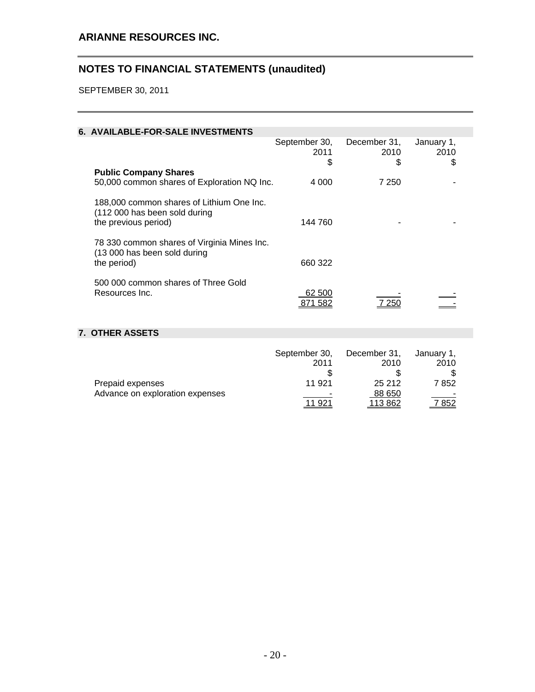# **ARIANNE RESOURCES INC.**

# **NOTES TO FINANCIAL STATEMENTS (unaudited)**

SEPTEMBER 30, 2011

# **6. AVAILABLE-FOR-SALE INVESTMENTS**

|                                                                                                    | September 30,<br>2011<br>S | December 31,<br>2010<br>S | January 1,<br>2010<br>S |  |
|----------------------------------------------------------------------------------------------------|----------------------------|---------------------------|-------------------------|--|
| <b>Public Company Shares</b>                                                                       |                            |                           |                         |  |
| 50,000 common shares of Exploration NQ Inc.                                                        | 4 0 0 0                    | 7 250                     |                         |  |
| 188,000 common shares of Lithium One Inc.<br>(112 000 has been sold during<br>the previous period) | 144 760                    |                           |                         |  |
| 78 330 common shares of Virginia Mines Inc.<br>(13 000 has been sold during<br>the period)         | 660 322                    |                           |                         |  |
|                                                                                                    |                            |                           |                         |  |
| 500 000 common shares of Three Gold                                                                |                            |                           |                         |  |
| Resources Inc.                                                                                     | 62 500                     |                           |                         |  |
|                                                                                                    | 871 582                    | 7 250                     |                         |  |

# **7. OTHER ASSETS**

|                                 | September 30, | December 31, | January 1, |
|---------------------------------|---------------|--------------|------------|
|                                 | 2011          | 2010         | 2010       |
|                                 |               |              |            |
| Prepaid expenses                | 11 921        | 25 212       | 7852       |
| Advance on exploration expenses | -             | 88 650       |            |
|                                 | 11 921        | 113 862      | 7 852      |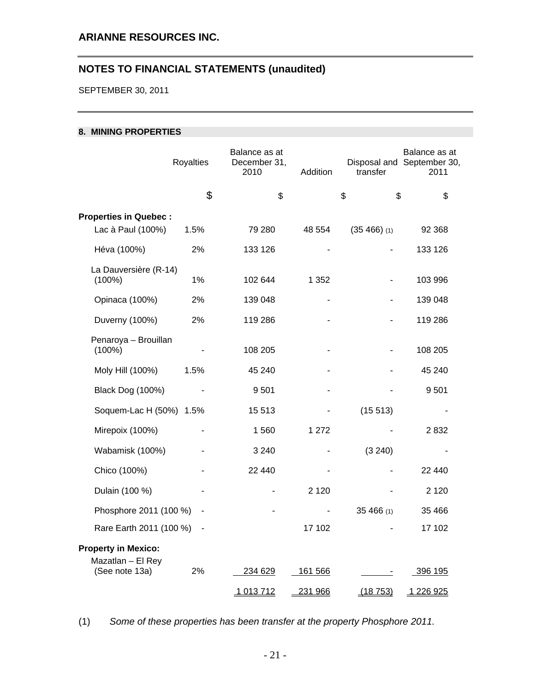SEPTEMBER 30, 2011

## **8. MINING PROPERTIES**

|                                                   | Royalties      | Balance as at<br>December 31,<br>2010 | Addition       | transfer       | Balance as at<br>Disposal and September 30,<br>2011 |
|---------------------------------------------------|----------------|---------------------------------------|----------------|----------------|-----------------------------------------------------|
|                                                   | \$             | \$                                    |                | \$<br>\$       | \$                                                  |
| <b>Properties in Quebec:</b><br>Lac à Paul (100%) | 1.5%           | 79 280                                | 48 554         | $(35 466)$ (1) | 92 368                                              |
| Héva (100%)                                       | 2%             | 133 126                               |                |                | 133 126                                             |
| La Dauversière (R-14)<br>$(100\%)$                | 1%             | 102 644                               | 1 3 5 2        |                | 103 996                                             |
| Opinaca (100%)                                    | 2%             | 139 048                               |                |                | 139 048                                             |
| Duverny (100%)                                    | 2%             | 119 286                               |                |                | 119 286                                             |
| Penaroya - Brouillan<br>$(100\%)$                 |                | 108 205                               |                |                | 108 205                                             |
| Moly Hill (100%)                                  | 1.5%           | 45 240                                |                |                | 45 240                                              |
| Black Dog (100%)                                  |                | 9501                                  |                |                | 9501                                                |
| Soquem-Lac H (50%) 1.5%                           |                | 15 513                                |                | (15513)        |                                                     |
| Mirepoix (100%)                                   |                | 1560                                  | 1 272          |                | 2832                                                |
| Wabamisk (100%)                                   |                | 3 2 4 0                               |                | (3 240)        |                                                     |
| Chico (100%)                                      |                | 22 440                                |                |                | 22 440                                              |
| Dulain (100 %)                                    |                |                                       | 2 1 2 0        |                | 2 1 2 0                                             |
| Phosphore 2011 (100 %)                            | $\blacksquare$ |                                       |                | 35 466 (1)     | 35 4 66                                             |
| Rare Earth 2011 (100 %)                           | $\blacksquare$ |                                       | 17 102         |                | 17 102                                              |
| <b>Property in Mexico:</b><br>Mazatlan - El Rey   |                |                                       |                |                |                                                     |
| (See note 13a)                                    | 2%             | 234 629                               | <u>161 566</u> |                | 396 195                                             |
|                                                   |                | 1013712                               | 231 966        | (18753)        | 1 226 925                                           |

(1) *Some of these properties has been transfer at the property Phosphore 2011.*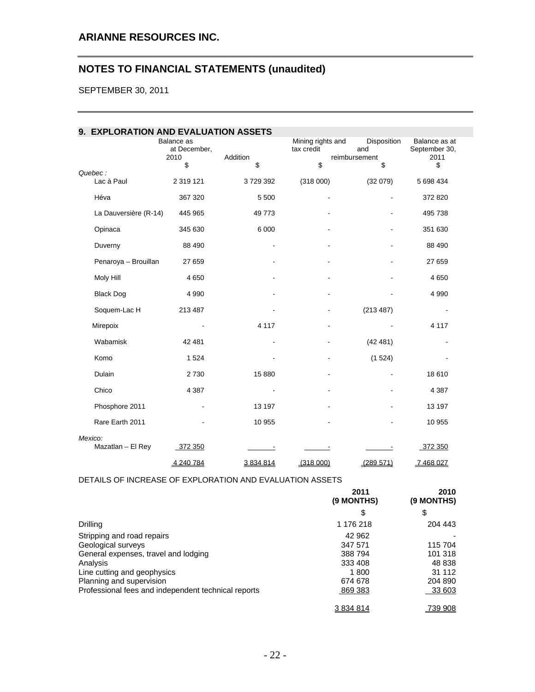SEPTEMBER 30, 2011

| 9. EXPLORATION AND EVALUATION ASSETS |                                    |          |                                 |                                     |                                        |
|--------------------------------------|------------------------------------|----------|---------------------------------|-------------------------------------|----------------------------------------|
|                                      | Balance as<br>at December,<br>2010 | Addition | Mining rights and<br>tax credit | Disposition<br>and<br>reimbursement | Balance as at<br>September 30,<br>2011 |
|                                      | \$                                 | \$       | \$                              | \$                                  | \$                                     |
| Quebec:<br>Lac à Paul                | 2 319 121                          | 3729392  | (318000)                        | (32079)                             | 5 698 434                              |
| Héva                                 | 367 320                            | 5 500    |                                 |                                     | 372 820                                |
| La Dauversière (R-14)                | 445 965                            | 49773    |                                 |                                     | 495 738                                |
| Opinaca                              | 345 630                            | 6 0 0 0  |                                 | $\blacksquare$                      | 351 630                                |
| Duverny                              | 88 490                             |          |                                 | $\blacksquare$                      | 88 490                                 |
| Penaroya - Brouillan                 | 27 659                             |          |                                 |                                     | 27 659                                 |
| Moly Hill                            | 4 6 5 0                            |          |                                 |                                     | 4 6 5 0                                |
| <b>Black Dog</b>                     | 4 9 9 0                            |          |                                 |                                     | 4 9 9 0                                |
| Soquem-Lac H                         | 213 487                            |          | $\qquad \qquad \blacksquare$    | (213 487)                           | $\overline{\phantom{a}}$               |
| Mirepoix                             |                                    | 4 1 1 7  |                                 |                                     | 4 1 1 7                                |
| Wabamisk                             | 42 481                             |          |                                 | (42481)                             |                                        |
| Komo                                 | 1 5 2 4                            |          |                                 | (1524)                              |                                        |
| Dulain                               | 2730                               | 15 880   |                                 |                                     | 18 610                                 |
| Chico                                | 4 3 8 7                            |          |                                 |                                     | 4 3 8 7                                |
| Phosphore 2011                       |                                    | 13 197   |                                 |                                     | 13 197                                 |
| Rare Earth 2011                      |                                    | 10 955   |                                 |                                     | 10 955                                 |
| Mexico:<br>Mazatlan - El Rey         | 372 350                            |          |                                 |                                     | 372 350                                |
|                                      |                                    |          |                                 |                                     |                                        |
|                                      | 4 240 784                          | 3834814  | (318000)                        | (289 571)                           | 7 468 027                              |

# DETAILS OF INCREASE OF EXPLORATION AND EVALUATION ASSETS

|                                                     | 2011<br>(9 MONTHS) | 2010<br>(9 MONTHS) |
|-----------------------------------------------------|--------------------|--------------------|
|                                                     | \$                 | \$                 |
| Drilling                                            | 1 176 218          | 204 443            |
| Stripping and road repairs                          | 42 962             |                    |
| Geological surveys                                  | 347 571            | 115 704            |
| General expenses, travel and lodging                | 388794             | 101 318            |
| Analysis                                            | 333 408            | 48 838             |
| Line cutting and geophysics                         | 1800               | 31 112             |
| Planning and supervision                            | 674 678            | 204 890            |
| Professional fees and independent technical reports | 869 383            | 33 603             |
|                                                     | 3 834 814          | 739 908            |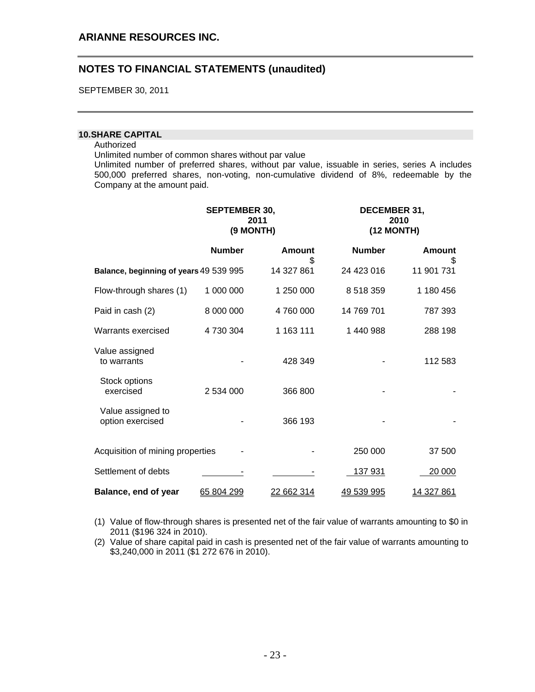SEPTEMBER 30, 2011

### **10. SHARE CAPITAL**

#### Authorized

Unlimited number of common shares without par value

Unlimited number of preferred shares, without par value, issuable in series, series A includes 500,000 preferred shares, non-voting, non-cumulative dividend of 8%, redeemable by the Company at the amount paid.

|                                        | <b>SEPTEMBER 30,</b><br>2011<br>(9 MONTH) |                   | <b>DECEMBER 31,</b><br>(12 MONTH) | 2010               |  |
|----------------------------------------|-------------------------------------------|-------------------|-----------------------------------|--------------------|--|
|                                        | <b>Number</b>                             | Amount<br>\$      | <b>Number</b>                     | <b>Amount</b><br>S |  |
| Balance, beginning of years 49 539 995 |                                           | 14 327 861        | 24 423 016                        | 11 901 731         |  |
| Flow-through shares (1)                | 1 000 000                                 | 1 250 000         | 8 5 1 8 3 5 9                     | 1 180 456          |  |
| Paid in cash (2)                       | 8 000 000                                 | 4760000           | 14 769 701                        | 787 393            |  |
| Warrants exercised                     | 4730304                                   | 1 163 111         | 1 440 988                         | 288 198            |  |
| Value assigned<br>to warrants          |                                           | 428 349           |                                   | 112 583            |  |
| Stock options<br>exercised             | 2 534 000                                 | 366 800           |                                   |                    |  |
| Value assigned to<br>option exercised  |                                           | 366 193           |                                   |                    |  |
| Acquisition of mining properties       |                                           |                   | 250 000                           | 37 500             |  |
| Settlement of debts                    |                                           |                   | 137 931                           | 20 000             |  |
| Balance, end of year                   | 65 804 299                                | <u>22 662 314</u> | 49 539 995                        | <u> 14 327 861</u> |  |

(1) Value of flow-through shares is presented net of the fair value of warrants amounting to \$0 in 2011 (\$196 324 in 2010).

(2) Value of share capital paid in cash is presented net of the fair value of warrants amounting to \$3,240,000 in 2011 (\$1 272 676 in 2010).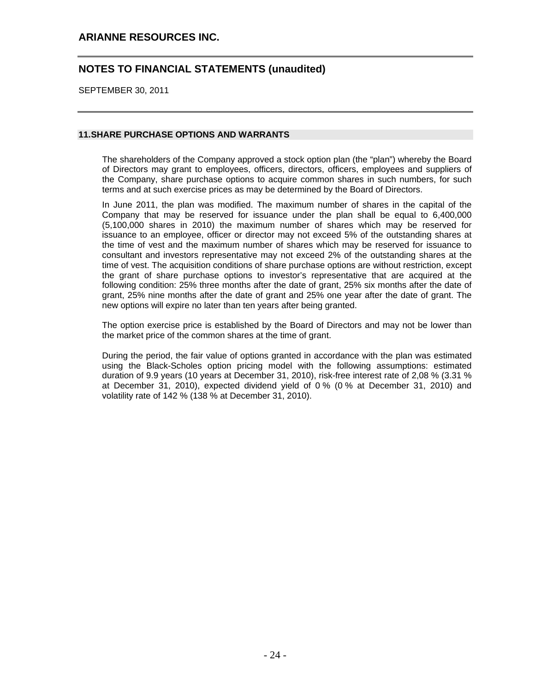## **ARIANNE RESOURCES INC.**

# **NOTES TO FINANCIAL STATEMENTS (unaudited)**

SEPTEMBER 30, 2011

### **11. SHARE PURCHASE OPTIONS AND WARRANTS**

The shareholders of the Company approved a stock option plan (the "plan") whereby the Board of Directors may grant to employees, officers, directors, officers, employees and suppliers of the Company, share purchase options to acquire common shares in such numbers, for such terms and at such exercise prices as may be determined by the Board of Directors.

In June 2011, the plan was modified. The maximum number of shares in the capital of the Company that may be reserved for issuance under the plan shall be equal to 6,400,000 (5,100,000 shares in 2010) the maximum number of shares which may be reserved for issuance to an employee, officer or director may not exceed 5% of the outstanding shares at the time of vest and the maximum number of shares which may be reserved for issuance to consultant and investors representative may not exceed 2% of the outstanding shares at the time of vest. The acquisition conditions of share purchase options are without restriction, except the grant of share purchase options to investor's representative that are acquired at the following condition: 25% three months after the date of grant, 25% six months after the date of grant, 25% nine months after the date of grant and 25% one year after the date of grant. The new options will expire no later than ten years after being granted.

The option exercise price is established by the Board of Directors and may not be lower than the market price of the common shares at the time of grant.

During the period, the fair value of options granted in accordance with the plan was estimated using the Black-Scholes option pricing model with the following assumptions: estimated duration of 9.9 years (10 years at December 31, 2010), risk-free interest rate of 2,08 % (3.31 % at December 31, 2010), expected dividend yield of 0 % (0 % at December 31, 2010) and volatility rate of 142 % (138 % at December 31, 2010).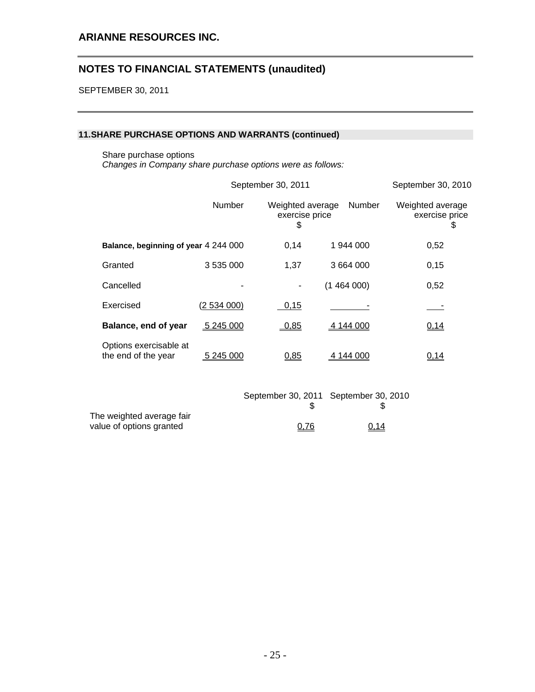SEPTEMBER 30, 2011

## **11. SHARE PURCHASE OPTIONS AND WARRANTS (continued)**

Share purchase options

*Changes in Company share purchase options were as follows:* 

|                                               | September 30, 2010 |                                          |               |                                         |
|-----------------------------------------------|--------------------|------------------------------------------|---------------|-----------------------------------------|
|                                               | Number             | Weighted average<br>exercise price<br>\$ | <b>Number</b> | Weighted average<br>exercise price<br>₩ |
| Balance, beginning of year 4 244 000          |                    | 0,14                                     | 1 944 000     | 0,52                                    |
| Granted                                       | 3 535 000          | 1,37                                     | 3 664 000     | 0,15                                    |
| Cancelled                                     |                    |                                          | (1464000)     | 0,52                                    |
| Exercised                                     | (2.534.000)        | 0,15                                     |               |                                         |
| Balance, end of year                          | 5 245 000          | 0,85                                     | 4 144 000     | 0,14                                    |
| Options exercisable at<br>the end of the year | 5 245 000          | 0,85                                     | 4 144 000     | 0,14                                    |
|                                               |                    | September 30, 2011 September 30, 2010    |               |                                         |

|                           | OCPIGITIVE OU, ZUTT OCPIGITIVE OU, ZU |      |
|---------------------------|---------------------------------------|------|
|                           |                                       |      |
| The weighted average fair |                                       |      |
| value of options granted  | 0,76                                  | 0,14 |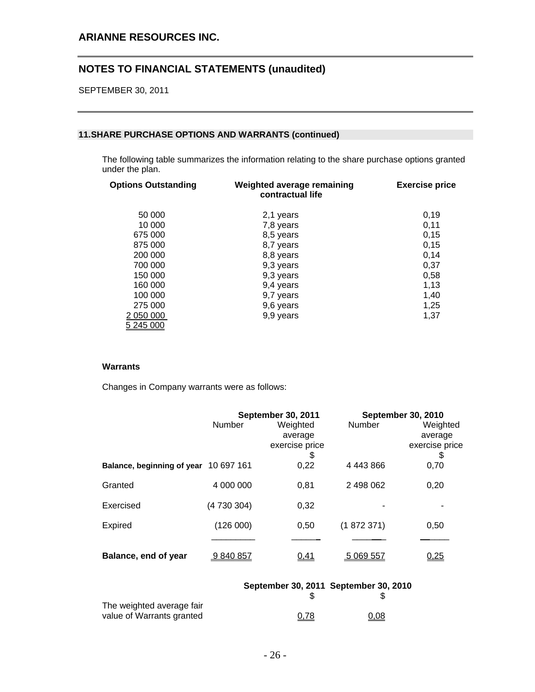SEPTEMBER 30, 2011

### **11. SHARE PURCHASE OPTIONS AND WARRANTS (continued)**

The following table summarizes the information relating to the share purchase options granted under the plan.

| <b>Options Outstanding</b> | Weighted average remaining<br>contractual life | <b>Exercise price</b> |
|----------------------------|------------------------------------------------|-----------------------|
| 50 000                     | 2,1 years                                      | 0,19                  |
| 10 000                     | 7,8 years                                      | 0,11                  |
| 675 000                    | 8,5 years                                      | 0,15                  |
| 875 000                    | 8,7 years                                      | 0,15                  |
| 200 000                    | 8,8 years                                      | 0,14                  |
| 700 000                    | 9,3 years                                      | 0,37                  |
| 150 000                    | 9,3 years                                      | 0,58                  |
| 160 000                    | 9,4 years                                      | 1,13                  |
| 100 000                    | 9,7 years                                      | 1,40                  |
| 275 000                    | 9,6 years                                      | 1,25                  |
| 2 050 000                  | 9,9 years                                      | 1,37                  |
| 5 245 000                  |                                                |                       |

## **Warrants**

Changes in Company warrants were as follows:

|                                       | Number      | September 30, 2011<br>Weighted<br>average | <b>Number</b> | <b>September 30, 2010</b><br>Weighted<br>average |
|---------------------------------------|-------------|-------------------------------------------|---------------|--------------------------------------------------|
|                                       |             | exercise price<br>\$                      |               | exercise price<br>\$                             |
| Balance, beginning of year 10 697 161 |             | 0,22                                      | 4 443 866     | 0,70                                             |
| Granted                               | 4 000 000   | 0.81                                      | 2 498 062     | 0,20                                             |
| Exercised                             | (4 730 304) | 0,32                                      |               |                                                  |
| <b>Expired</b>                        | (126000)    | 0,50                                      | (1872371)     | 0,50                                             |
|                                       |             |                                           |               |                                                  |
| Balance, end of year                  | 9840857     | 0,41                                      | 5 069 557     | <u>0,25</u>                                      |

|                           |      | September 30, 2011 September 30, 2010 |
|---------------------------|------|---------------------------------------|
| The weighted average fair |      |                                       |
| value of Warrants granted | 0,78 | 0,08                                  |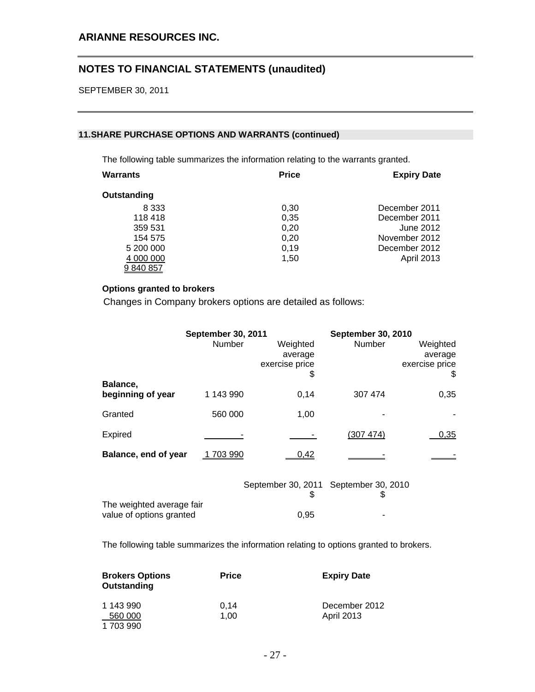SEPTEMBER 30, 2011

## **11. SHARE PURCHASE OPTIONS AND WARRANTS (continued)**

The following table summarizes the information relating to the warrants granted.

| Warrants    | <b>Price</b> | <b>Expiry Date</b> |
|-------------|--------------|--------------------|
| Outstanding |              |                    |
| 8 3 3 3     | 0,30         | December 2011      |
| 118418      | 0,35         | December 2011      |
| 359 531     | 0,20         | June 2012          |
| 154 575     | 0,20         | November 2012      |
| 5 200 000   | 0,19         | December 2012      |
| 4 000 000   | 1,50         | <b>April 2013</b>  |
| 9 840 857   |              |                    |

## **Options granted to brokers**

Changes in Company brokers options are detailed as follows:

|                               | <b>September 30, 2011</b><br>Number | Weighted<br>average<br>exercise price       | <b>September 30, 2010</b><br>Number | Weighted<br>average<br>exercise price |
|-------------------------------|-------------------------------------|---------------------------------------------|-------------------------------------|---------------------------------------|
| Balance,<br>beginning of year | 1 143 990                           | \$<br>0,14                                  | 307 474                             | \$<br>0,35                            |
| Granted                       | 560 000                             | 1,00                                        |                                     |                                       |
| Expired                       |                                     |                                             | (307 474)                           | 0,35                                  |
| Balance, end of year          | 703 990                             | 0,42                                        |                                     |                                       |
| The weighted average fair     |                                     | September 30, 2011 September 30, 2010<br>\$ | 3                                   |                                       |
| value of options granted      |                                     | 0,95                                        |                                     |                                       |

The following table summarizes the information relating to options granted to brokers.

| <b>Brokers Options</b><br>Outstanding | <b>Price</b> | <b>Expiry Date</b>                 |
|---------------------------------------|--------------|------------------------------------|
| 1 143 990<br>560 000<br>1 703 990     | 0.14<br>1.00 | December 2012<br><b>April 2013</b> |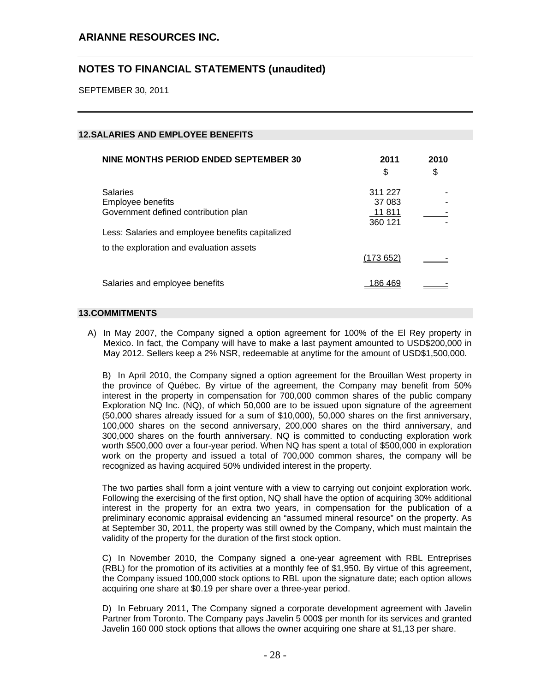SEPTEMBER 30, 2011

## **12. SALARIES AND EMPLOYEE BENEFITS**

| NINE MONTHS PERIOD ENDED SEPTEMBER 30                                                        | 2011<br>\$                             | 2010<br>\$ |
|----------------------------------------------------------------------------------------------|----------------------------------------|------------|
| <b>Salaries</b><br>Employee benefits<br>Government defined contribution plan                 | 311 227<br>37 083<br>11 811<br>360 121 |            |
| Less: Salaries and employee benefits capitalized<br>to the exploration and evaluation assets |                                        |            |
|                                                                                              | (173652)                               |            |
| Salaries and employee benefits                                                               | 186 469                                |            |

### **13. COMMITMENTS**

A) In May 2007, the Company signed a option agreement for 100% of the El Rey property in Mexico. In fact, the Company will have to make a last payment amounted to USD\$200,000 in May 2012. Sellers keep a 2% NSR, redeemable at anytime for the amount of USD\$1,500,000.

B) In April 2010, the Company signed a option agreement for the Brouillan West property in the province of Québec. By virtue of the agreement, the Company may benefit from 50% interest in the property in compensation for 700,000 common shares of the public company Exploration NQ Inc. (NQ), of which 50,000 are to be issued upon signature of the agreement (50,000 shares already issued for a sum of \$10,000), 50,000 shares on the first anniversary, 100,000 shares on the second anniversary, 200,000 shares on the third anniversary, and 300,000 shares on the fourth anniversary. NQ is committed to conducting exploration work worth \$500,000 over a four-year period. When NQ has spent a total of \$500,000 in exploration work on the property and issued a total of 700,000 common shares, the company will be recognized as having acquired 50% undivided interest in the property.

The two parties shall form a joint venture with a view to carrying out conjoint exploration work. Following the exercising of the first option, NQ shall have the option of acquiring 30% additional interest in the property for an extra two years, in compensation for the publication of a preliminary economic appraisal evidencing an "assumed mineral resource" on the property. As at September 30, 2011, the property was still owned by the Company, which must maintain the validity of the property for the duration of the first stock option.

C) In November 2010, the Company signed a one-year agreement with RBL Entreprises (RBL) for the promotion of its activities at a monthly fee of \$1,950. By virtue of this agreement, the Company issued 100,000 stock options to RBL upon the signature date; each option allows acquiring one share at \$0.19 per share over a three-year period.

D) In February 2011, The Company signed a corporate development agreement with Javelin Partner from Toronto. The Company pays Javelin 5 000\$ per month for its services and granted Javelin 160 000 stock options that allows the owner acquiring one share at \$1,13 per share.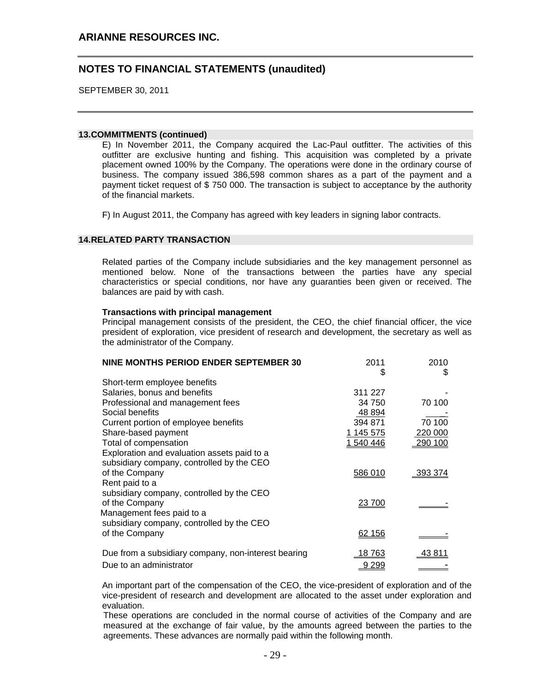SEPTEMBER 30, 2011

### **13. COMMITMENTS (continued)**

E) In November 2011, the Company acquired the Lac-Paul outfitter. The activities of this outfitter are exclusive hunting and fishing. This acquisition was completed by a private placement owned 100% by the Company. The operations were done in the ordinary course of business. The company issued 386,598 common shares as a part of the payment and a payment ticket request of \$ 750 000. The transaction is subject to acceptance by the authority of the financial markets.

F) In August 2011, the Company has agreed with key leaders in signing labor contracts.

## **14. RELATED PARTY TRANSACTION**

Related parties of the Company include subsidiaries and the key management personnel as mentioned below. None of the transactions between the parties have any special characteristics or special conditions, nor have any guaranties been given or received. The balances are paid by with cash.

### **Transactions with principal management**

Principal management consists of the president, the CEO, the chief financial officer, the vice president of exploration, vice president of research and development, the secretary as well as the administrator of the Company.

| NINE MONTHS PERIOD ENDER SEPTEMBER 30               | 2011<br>S     | 2010<br>\$     |
|-----------------------------------------------------|---------------|----------------|
| Short-term employee benefits                        |               |                |
| Salaries, bonus and benefits                        | 311 227       |                |
| Professional and management fees                    | 34 750        | 70 100         |
| Social benefits                                     | 48 894        |                |
| Current portion of employee benefits                | 394 871       | 70 100         |
| Share-based payment                                 | 1 145 575     | 220 000        |
| Total of compensation                               | 1 540 446     | 290 100        |
| Exploration and evaluation assets paid to a         |               |                |
| subsidiary company, controlled by the CEO           |               |                |
| of the Company                                      | 586 010       | <u>393 374</u> |
| Rent paid to a                                      |               |                |
| subsidiary company, controlled by the CEO           |               |                |
| of the Company                                      | <u>23 700</u> |                |
| Management fees paid to a                           |               |                |
| subsidiary company, controlled by the CEO           |               |                |
| of the Company                                      | <u>62 156</u> |                |
| Due from a subsidiary company, non-interest bearing | 18 763        | 43 811         |
| Due to an administrator                             | 9 2 9 9       |                |

An important part of the compensation of the CEO, the vice-president of exploration and of the vice-president of research and development are allocated to the asset under exploration and evaluation.

These operations are concluded in the normal course of activities of the Company and are measured at the exchange of fair value, by the amounts agreed between the parties to the agreements. These advances are normally paid within the following month.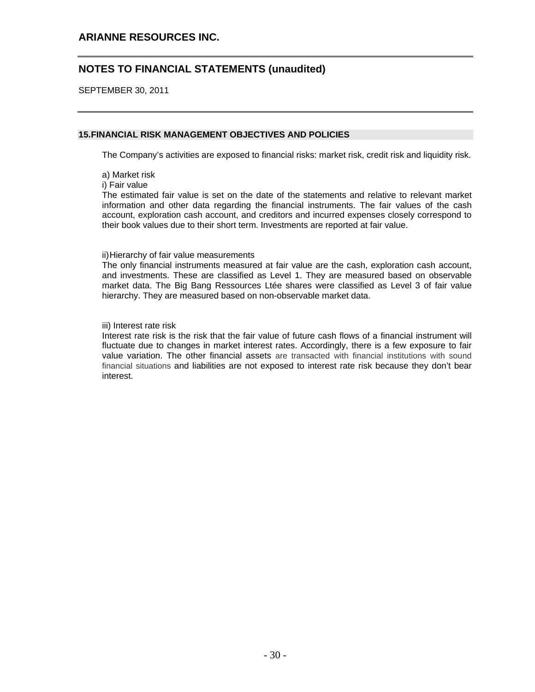SEPTEMBER 30, 2011

## **15. FINANCIAL RISK MANAGEMENT OBJECTIVES AND POLICIES**

The Company's activities are exposed to financial risks: market risk, credit risk and liquidity risk.

- a) Market risk
- i) Fair value

The estimated fair value is set on the date of the statements and relative to relevant market information and other data regarding the financial instruments. The fair values of the cash account, exploration cash account, and creditors and incurred expenses closely correspond to their book values due to their short term. Investments are reported at fair value.

#### ii) Hierarchy of fair value measurements

The only financial instruments measured at fair value are the cash, exploration cash account, and investments. These are classified as Level 1. They are measured based on observable market data. The Big Bang Ressources Ltée shares were classified as Level 3 of fair value hierarchy. They are measured based on non-observable market data.

#### iii) Interest rate risk

Interest rate risk is the risk that the fair value of future cash flows of a financial instrument will fluctuate due to changes in market interest rates. Accordingly, there is a few exposure to fair value variation. The other financial assets are transacted with financial institutions with sound financial situations and liabilities are not exposed to interest rate risk because they don't bear interest.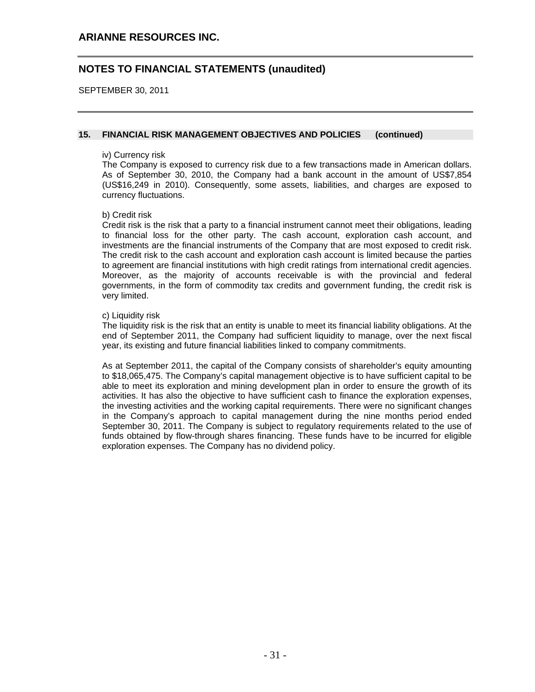SEPTEMBER 30, 2011

## **15. FINANCIAL RISK MANAGEMENT OBJECTIVES AND POLICIES (continued)**

### iv) Currency risk

The Company is exposed to currency risk due to a few transactions made in American dollars. As of September 30, 2010, the Company had a bank account in the amount of US\$7,854 (US\$16,249 in 2010). Consequently, some assets, liabilities, and charges are exposed to currency fluctuations.

### b) Credit risk

Credit risk is the risk that a party to a financial instrument cannot meet their obligations, leading to financial loss for the other party. The cash account, exploration cash account, and investments are the financial instruments of the Company that are most exposed to credit risk. The credit risk to the cash account and exploration cash account is limited because the parties to agreement are financial institutions with high credit ratings from international credit agencies. Moreover, as the majority of accounts receivable is with the provincial and federal governments, in the form of commodity tax credits and government funding, the credit risk is very limited.

### c) Liquidity risk

The liquidity risk is the risk that an entity is unable to meet its financial liability obligations. At the end of September 2011, the Company had sufficient liquidity to manage, over the next fiscal year, its existing and future financial liabilities linked to company commitments.

As at September 2011, the capital of the Company consists of shareholder's equity amounting to \$18,065,475. The Company's capital management objective is to have sufficient capital to be able to meet its exploration and mining development plan in order to ensure the growth of its activities. It has also the objective to have sufficient cash to finance the exploration expenses, the investing activities and the working capital requirements. There were no significant changes in the Company's approach to capital management during the nine months period ended September 30, 2011. The Company is subject to regulatory requirements related to the use of funds obtained by flow-through shares financing. These funds have to be incurred for eligible exploration expenses. The Company has no dividend policy.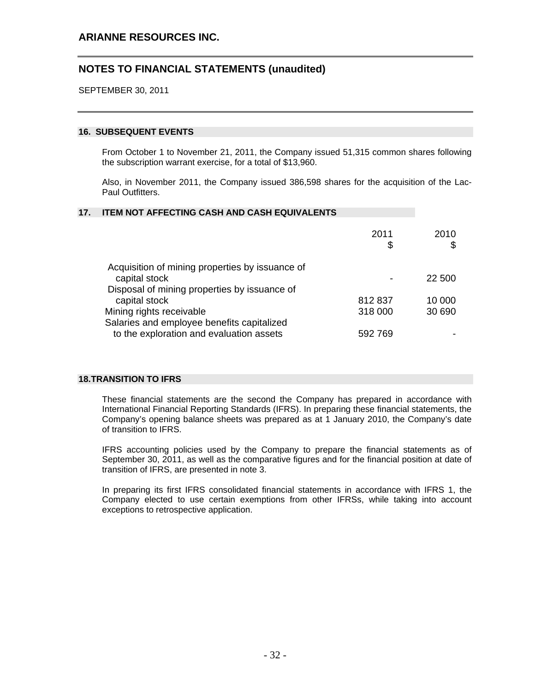SEPTEMBER 30, 2011

### **16. SUBSEQUENT EVENTS**

From October 1 to November 21, 2011, the Company issued 51,315 common shares following the subscription warrant exercise, for a total of \$13,960.

Also, in November 2011, the Company issued 386,598 shares for the acquisition of the Lac-Paul Outfitters.

#### **17. ITEM NOT AFFECTING CASH AND CASH EQUIVALENTS**

|                                                 | 2011<br>\$ | 2010   |
|-------------------------------------------------|------------|--------|
| Acquisition of mining properties by issuance of |            |        |
| capital stock                                   |            | 22 500 |
| Disposal of mining properties by issuance of    |            |        |
| capital stock                                   | 812837     | 10 000 |
| Mining rights receivable                        | 318 000    | 30 690 |
| Salaries and employee benefits capitalized      |            |        |
| to the exploration and evaluation assets        | 592 769    |        |
|                                                 |            |        |

### **18. TRANSITION TO IFRS**

These financial statements are the second the Company has prepared in accordance with International Financial Reporting Standards (IFRS). In preparing these financial statements, the Company's opening balance sheets was prepared as at 1 January 2010, the Company's date of transition to IFRS.

IFRS accounting policies used by the Company to prepare the financial statements as of September 30, 2011, as well as the comparative figures and for the financial position at date of transition of IFRS, are presented in note 3.

In preparing its first IFRS consolidated financial statements in accordance with IFRS 1, the Company elected to use certain exemptions from other IFRSs, while taking into account exceptions to retrospective application.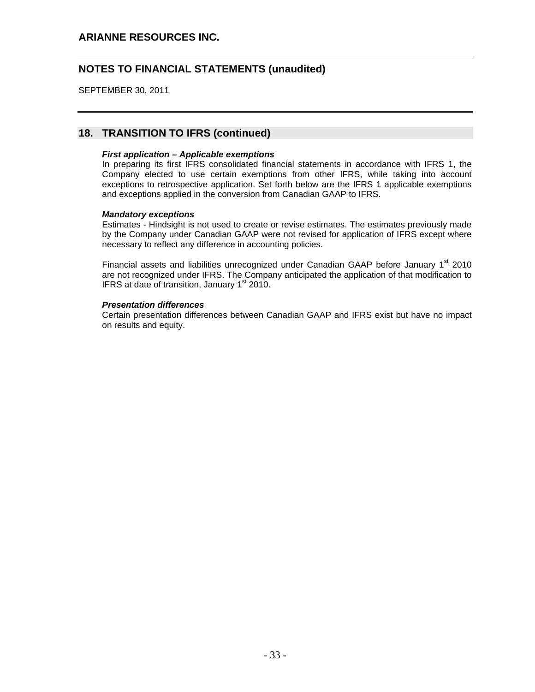SEPTEMBER 30, 2011

## **18. TRANSITION TO IFRS (continued)**

### *First application – Applicable exemptions*

In preparing its first IFRS consolidated financial statements in accordance with IFRS 1, the Company elected to use certain exemptions from other IFRS, while taking into account exceptions to retrospective application. Set forth below are the IFRS 1 applicable exemptions and exceptions applied in the conversion from Canadian GAAP to IFRS.

### *Mandatory exceptions*

Estimates - Hindsight is not used to create or revise estimates. The estimates previously made by the Company under Canadian GAAP were not revised for application of IFRS except where necessary to reflect any difference in accounting policies.

Financial assets and liabilities unrecognized under Canadian GAAP before January 1<sup>st</sup> 2010 are not recognized under IFRS. The Company anticipated the application of that modification to IFRS at date of transition, January  $1<sup>st</sup>$  2010.

### *Presentation differences*

Certain presentation differences between Canadian GAAP and IFRS exist but have no impact on results and equity.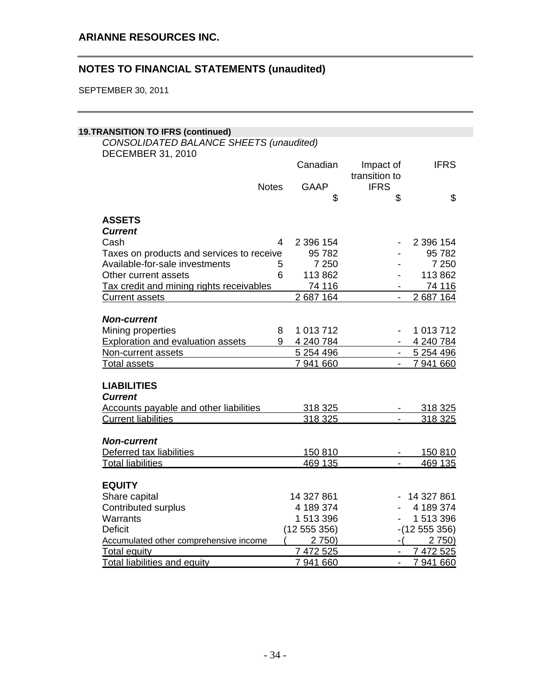SEPTEMBER 30, 2011

## **19. TRANSITION TO IFRS (continued)**

*CONSOLIDATED BALANCE SHEETS (unaudited)*  DECEMBER 31, 2010

|                                                 | Canadian       | Impact of<br>transition to | <b>IFRS</b>         |
|-------------------------------------------------|----------------|----------------------------|---------------------|
| <b>Notes</b>                                    | <b>GAAP</b>    | <b>IFRS</b>                |                     |
|                                                 |                | \$<br>\$                   | \$                  |
| <b>ASSETS</b>                                   |                |                            |                     |
| <b>Current</b>                                  |                |                            |                     |
| Cash                                            | 2 396 154<br>4 |                            | 2 396 154           |
| Taxes on products and services to receive       | 95782          |                            | 95782               |
| Available-for-sale investments                  | 7 2 5 0<br>5   |                            | 7 2 5 0             |
| Other current assets                            | 6<br>113 862   |                            | 113 862             |
| <b>Tax credit and mining rights receivables</b> | 74 116         |                            | 74 116              |
| <b>Current assets</b>                           | 2687164        |                            | 2 687 164           |
|                                                 |                |                            |                     |
| <b>Non-current</b>                              |                |                            |                     |
| Mining properties                               | 1 013 712<br>8 |                            | 1 013 712           |
| <b>Exploration and evaluation assets</b>        | 9<br>4 240 784 |                            | 4 240 784           |
| Non-current assets                              | 5 2 5 4 4 9 6  |                            | 5 254 496<br>$\sim$ |
| <b>Total assets</b>                             | 7 941 660      |                            | 7 941 660<br>$\sim$ |
|                                                 |                |                            |                     |
| <b>LIABILITIES</b>                              |                |                            |                     |
| <b>Current</b>                                  |                |                            |                     |
| <b>Accounts payable and other liabilities</b>   | 318 325        |                            | 318 325             |
| <b>Current liabilities</b>                      | 318 325        | $\overline{\phantom{a}}$   | 318 325             |
|                                                 |                |                            |                     |
| <b>Non-current</b>                              |                |                            |                     |
| Deferred tax liabilities                        | 150 810        |                            | 150 810             |
| <b>Total liabilities</b>                        | 469 135        |                            | 469 135             |
|                                                 |                |                            |                     |
| <b>EQUITY</b>                                   |                |                            |                     |
| Share capital                                   | 14 327 861     |                            | 14 327 861          |
| <b>Contributed surplus</b>                      | 4 189 374      |                            | 4 189 374           |
| Warrants                                        | 1 513 396      |                            | 1 513 396           |
| <b>Deficit</b>                                  | (12 555 356)   |                            | $-(12555356)$       |
| Accumulated other comprehensive income          | 2750           |                            | 2750                |
| <b>Total equity</b>                             | 7 472 525      |                            | 7 472 525           |
| <b>Total liabilities and equity</b>             | 7 941 660      |                            | 7 941 660           |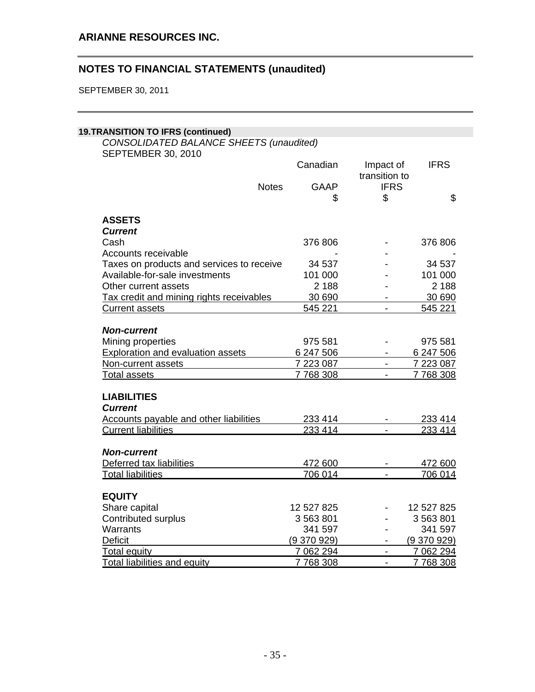SEPTEMBER 30, 2011

## **19. TRANSITION TO IFRS (continued)**

*CONSOLIDATED BALANCE SHEETS (unaudited)*  SEPTEMBER 30, 2010

|                                                 | Canadian                 | Impact of                | <b>IFRS</b>            |
|-------------------------------------------------|--------------------------|--------------------------|------------------------|
|                                                 |                          | transition to            |                        |
| <b>Notes</b>                                    | <b>GAAP</b>              | <b>IFRS</b>              |                        |
|                                                 | \$                       | \$                       | \$                     |
| <b>ASSETS</b>                                   |                          |                          |                        |
| <b>Current</b>                                  |                          |                          |                        |
| Cash                                            | 376 806                  |                          | 376 806                |
| Accounts receivable                             |                          |                          |                        |
| Taxes on products and services to receive       | 34 537                   |                          | 34 537                 |
| Available-for-sale investments                  | 101 000                  |                          | 101 000                |
| Other current assets                            | 2 1 8 8                  |                          | 2 1 8 8                |
| <b>Tax credit and mining rights receivables</b> | 30 690                   |                          | 30 690                 |
| <b>Current assets</b>                           | 545 221                  |                          | 545 221                |
|                                                 |                          |                          |                        |
| <b>Non-current</b>                              |                          |                          |                        |
| Mining properties                               | 975 581                  |                          | 975 581                |
| <b>Exploration and evaluation assets</b>        | 6 247 506                |                          | 6 247 506              |
| Non-current assets                              | 7 223 087                | $\blacksquare$           | 7 223 087              |
| <b>Total assets</b>                             | 7768308                  | $\overline{\phantom{a}}$ | 7768308                |
|                                                 |                          |                          |                        |
| <b>LIABILITIES</b>                              |                          |                          |                        |
| <b>Current</b>                                  |                          |                          |                        |
| <b>Accounts payable and other liabilities</b>   | 233 414                  |                          | 233 414                |
| <b>Current liabilities</b>                      | 233 414                  |                          | 233 414                |
|                                                 |                          |                          |                        |
| <b>Non-current</b>                              |                          |                          |                        |
| Deferred tax liabilities                        | 472 600                  |                          | 472 600                |
| <b>Total liabilities</b>                        | 706 014                  |                          | 706 014                |
|                                                 |                          |                          |                        |
| <b>EQUITY</b>                                   | 12 527 825               |                          | 12 527 825             |
| Share capital                                   | 3 563 801                |                          | 3 563 801              |
| Contributed surplus<br>Warrants                 | 341 597                  |                          | 341 597                |
| <b>Deficit</b>                                  |                          |                          |                        |
| <b>Total equity</b>                             | (9.370.929)<br>7 062 294 | $\overline{a}$           | (9370929)<br>7 062 294 |
| <b>Total liabilities and equity</b>             | 7768308                  | $\overline{a}$           | 7768308                |
|                                                 |                          |                          |                        |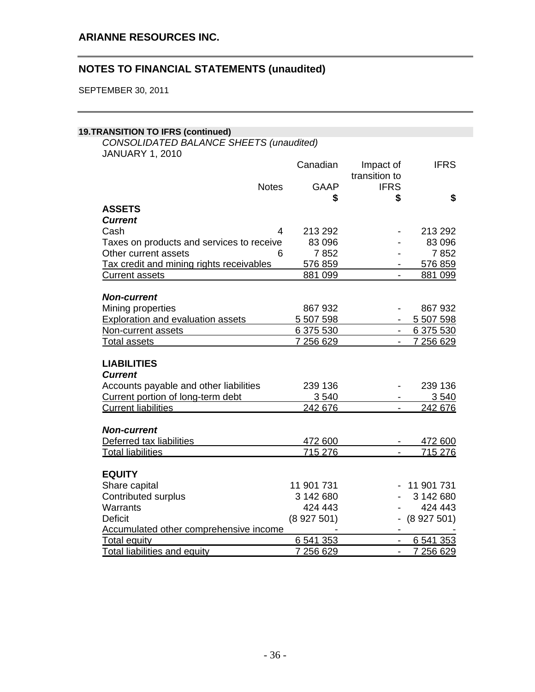SEPTEMBER 30, 2011

## **19. TRANSITION TO IFRS (continued)**

*CONSOLIDATED BALANCE SHEETS (unaudited)*  JANUARY 1, 2010

|                                           | Canadian    | Impact of                | <b>IFRS</b>     |
|-------------------------------------------|-------------|--------------------------|-----------------|
|                                           |             | transition to            |                 |
| <b>Notes</b>                              | <b>GAAP</b> | <b>IFRS</b>              |                 |
|                                           | \$          | \$                       | \$              |
| <b>ASSETS</b>                             |             |                          |                 |
| <b>Current</b>                            |             |                          |                 |
| Cash<br>4                                 | 213 292     |                          | 213 292         |
| Taxes on products and services to receive | 83 096      |                          | 83 096          |
| Other current assets<br>6                 | 7852        |                          | 7852            |
| Tax credit and mining rights receivables  | 576 859     |                          | 576 859         |
| <b>Current assets</b>                     | 881 099     | $\overline{\phantom{a}}$ | 881 099         |
| <b>Non-current</b>                        |             |                          |                 |
| Mining properties                         | 867 932     |                          | 867 932         |
| <b>Exploration and evaluation assets</b>  | 5 507 598   |                          | 5 507 598       |
| Non-current assets                        | 6 375 530   | $\frac{1}{2}$            | 6 375 530       |
| <b>Total assets</b>                       | 7 256 629   |                          | 7 256 629       |
|                                           |             |                          |                 |
| <b>LIABILITIES</b>                        |             |                          |                 |
| <b>Current</b>                            |             |                          |                 |
| Accounts payable and other liabilities    | 239 136     |                          | 239 136         |
| Current portion of long-term debt         | 3540        |                          | 3 5 4 0         |
| <b>Current liabilities</b>                | 242 676     |                          | 242 676         |
|                                           |             |                          |                 |
| <b>Non-current</b>                        |             |                          |                 |
| Deferred tax liabilities                  | 472 600     |                          | 472 600         |
| <b>Total liabilities</b>                  | 715 276     |                          | 715 276         |
|                                           |             |                          |                 |
| <b>EQUITY</b>                             |             |                          |                 |
| Share capital                             | 11 901 731  |                          | 11 901 731      |
| <b>Contributed surplus</b>                | 3 142 680   |                          | 3 142 680       |
| Warrants                                  | 424 443     | $\overline{\phantom{0}}$ | 424 443         |
| <b>Deficit</b>                            | (8927501)   |                          | $-$ (8 927 501) |
| Accumulated other comprehensive income    |             | $\blacksquare$           |                 |
| <b>Total equity</b>                       | 6 541 353   |                          | 6 541 353       |
| <b>Total liabilities and equity</b>       | 7 256 629   |                          | 7 256 629       |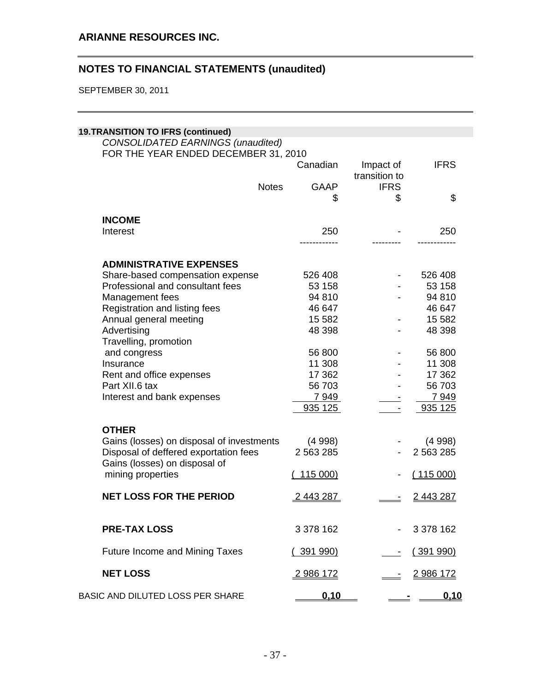SEPTEMBER 30, 2011

| <b>19.TRANSITION TO IFRS (continued)</b>                                  |                  |                            |                  |  |  |
|---------------------------------------------------------------------------|------------------|----------------------------|------------------|--|--|
| CONSOLIDATED EARNINGS (unaudited)<br>FOR THE YEAR ENDED DECEMBER 31, 2010 |                  |                            |                  |  |  |
|                                                                           | Canadian         | Impact of<br>transition to | <b>IFRS</b>      |  |  |
| <b>Notes</b>                                                              | <b>GAAP</b>      | <b>IFRS</b>                |                  |  |  |
|                                                                           | \$               | \$                         | \$               |  |  |
| <b>INCOME</b>                                                             |                  |                            |                  |  |  |
| Interest                                                                  | 250              |                            | 250              |  |  |
|                                                                           |                  |                            |                  |  |  |
| <b>ADMINISTRATIVE EXPENSES</b>                                            |                  |                            |                  |  |  |
| Share-based compensation expense                                          | 526 408          |                            | 526 408          |  |  |
| Professional and consultant fees                                          | 53 158           |                            | 53 158           |  |  |
| Management fees                                                           | 94 810           |                            | 94 810           |  |  |
| Registration and listing fees                                             | 46 647           |                            | 46 647           |  |  |
| Annual general meeting                                                    | 15 5 82          |                            | 15 5 82          |  |  |
| Advertising                                                               | 48 398           |                            | 48 398           |  |  |
| Travelling, promotion                                                     |                  |                            |                  |  |  |
| and congress                                                              | 56 800           |                            | 56 800           |  |  |
| Insurance                                                                 | 11 308           |                            | 11 308           |  |  |
| Rent and office expenses                                                  | 17 362           |                            | 17 362           |  |  |
| Part XII.6 tax                                                            | 56 703           |                            | 56 703           |  |  |
| Interest and bank expenses                                                | 7949             |                            | 7949             |  |  |
|                                                                           | 935 125          |                            | 935 125          |  |  |
| <b>OTHER</b>                                                              |                  |                            |                  |  |  |
| Gains (losses) on disposal of investments                                 | (4998)           |                            | (4998)           |  |  |
| Disposal of deffered exportation fees                                     | 2 5 63 2 85      |                            | 2 563 285        |  |  |
| Gains (losses) on disposal of                                             |                  |                            |                  |  |  |
| mining properties                                                         | 115 000)         |                            | (115000)         |  |  |
| <b>NET LOSS FOR THE PERIOD</b>                                            | <u>2443287</u>   |                            | 2443287          |  |  |
|                                                                           |                  |                            |                  |  |  |
| <b>PRE-TAX LOSS</b>                                                       | 3 378 162        |                            | 3 378 162        |  |  |
| <b>Future Income and Mining Taxes</b>                                     | <u>(391 990)</u> |                            | (391990)         |  |  |
| <b>NET LOSS</b>                                                           | <u>2986172</u>   |                            | <u>2 986 172</u> |  |  |
| BASIC AND DILUTED LOSS PER SHARE                                          | 0.10             |                            | <u>0.10</u>      |  |  |